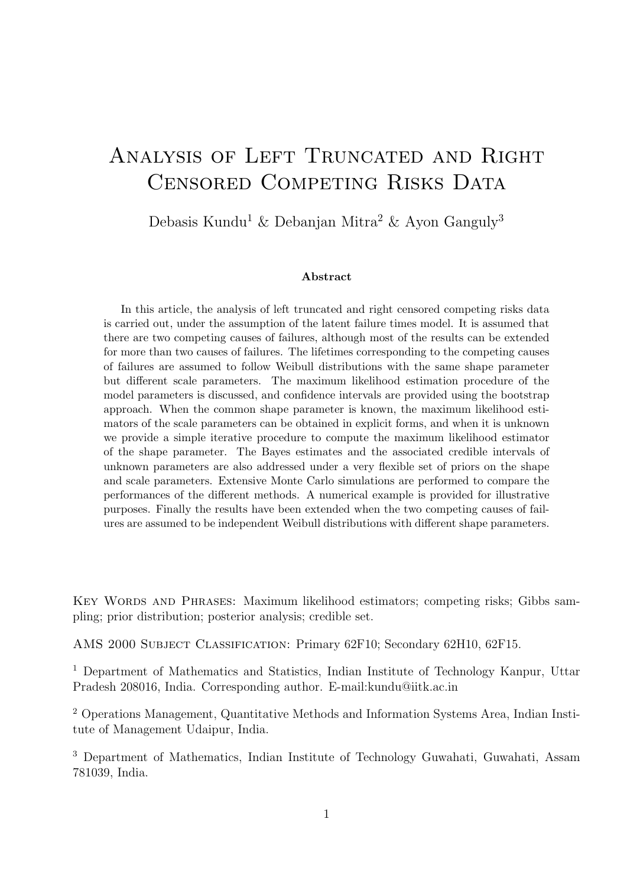# Analysis of Left Truncated and Right CENSORED COMPETING RISKS DATA

Debasis Kundu<sup>1</sup> & Debanjan Mitra<sup>2</sup> & Ayon Ganguly<sup>3</sup>

#### Abstract

In this article, the analysis of left truncated and right censored competing risks data is carried out, under the assumption of the latent failure times model. It is assumed that there are two competing causes of failures, although most of the results can be extended for more than two causes of failures. The lifetimes corresponding to the competing causes of failures are assumed to follow Weibull distributions with the same shape parameter but different scale parameters. The maximum likelihood estimation procedure of the model parameters is discussed, and confidence intervals are provided using the bootstrap approach. When the common shape parameter is known, the maximum likelihood estimators of the scale parameters can be obtained in explicit forms, and when it is unknown we provide a simple iterative procedure to compute the maximum likelihood estimator of the shape parameter. The Bayes estimates and the associated credible intervals of unknown parameters are also addressed under a very flexible set of priors on the shape and scale parameters. Extensive Monte Carlo simulations are performed to compare the performances of the different methods. A numerical example is provided for illustrative purposes. Finally the results have been extended when the two competing causes of failures are assumed to be independent Weibull distributions with different shape parameters.

Key Words and Phrases: Maximum likelihood estimators; competing risks; Gibbs sampling; prior distribution; posterior analysis; credible set.

AMS 2000 SUBJECT CLASSIFICATION: Primary 62F10; Secondary 62H10, 62F15.

<sup>1</sup> Department of Mathematics and Statistics, Indian Institute of Technology Kanpur, Uttar Pradesh 208016, India. Corresponding author. E-mail:kundu@iitk.ac.in

<sup>2</sup> Operations Management, Quantitative Methods and Information Systems Area, Indian Institute of Management Udaipur, India.

<sup>3</sup> Department of Mathematics, Indian Institute of Technology Guwahati, Guwahati, Assam 781039, India.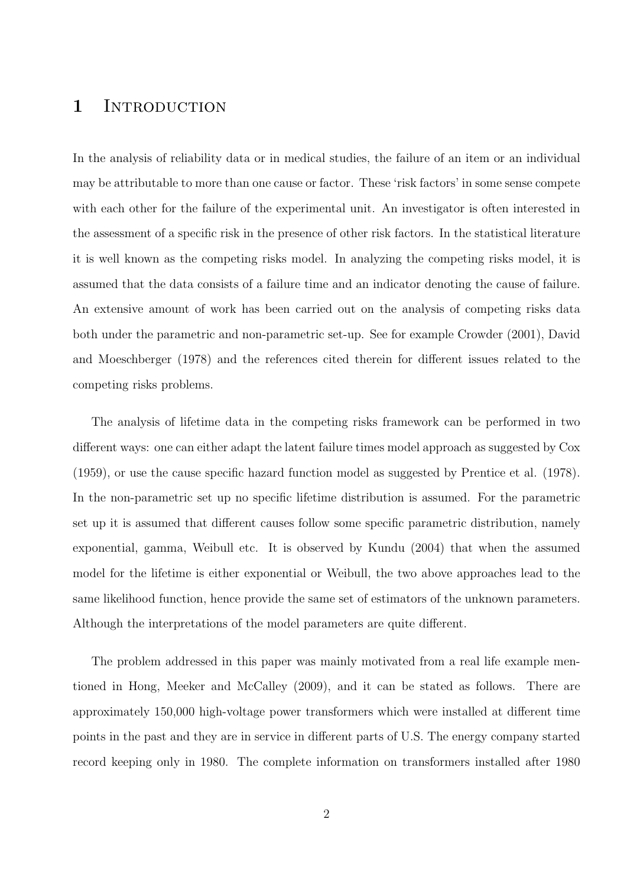## 1 INTRODUCTION

In the analysis of reliability data or in medical studies, the failure of an item or an individual may be attributable to more than one cause or factor. These 'risk factors' in some sense compete with each other for the failure of the experimental unit. An investigator is often interested in the assessment of a specific risk in the presence of other risk factors. In the statistical literature it is well known as the competing risks model. In analyzing the competing risks model, it is assumed that the data consists of a failure time and an indicator denoting the cause of failure. An extensive amount of work has been carried out on the analysis of competing risks data both under the parametric and non-parametric set-up. See for example Crowder (2001), David and Moeschberger (1978) and the references cited therein for different issues related to the competing risks problems.

The analysis of lifetime data in the competing risks framework can be performed in two different ways: one can either adapt the latent failure times model approach as suggested by Cox (1959), or use the cause specific hazard function model as suggested by Prentice et al. (1978). In the non-parametric set up no specific lifetime distribution is assumed. For the parametric set up it is assumed that different causes follow some specific parametric distribution, namely exponential, gamma, Weibull etc. It is observed by Kundu (2004) that when the assumed model for the lifetime is either exponential or Weibull, the two above approaches lead to the same likelihood function, hence provide the same set of estimators of the unknown parameters. Although the interpretations of the model parameters are quite different.

The problem addressed in this paper was mainly motivated from a real life example mentioned in Hong, Meeker and McCalley (2009), and it can be stated as follows. There are approximately 150,000 high-voltage power transformers which were installed at different time points in the past and they are in service in different parts of U.S. The energy company started record keeping only in 1980. The complete information on transformers installed after 1980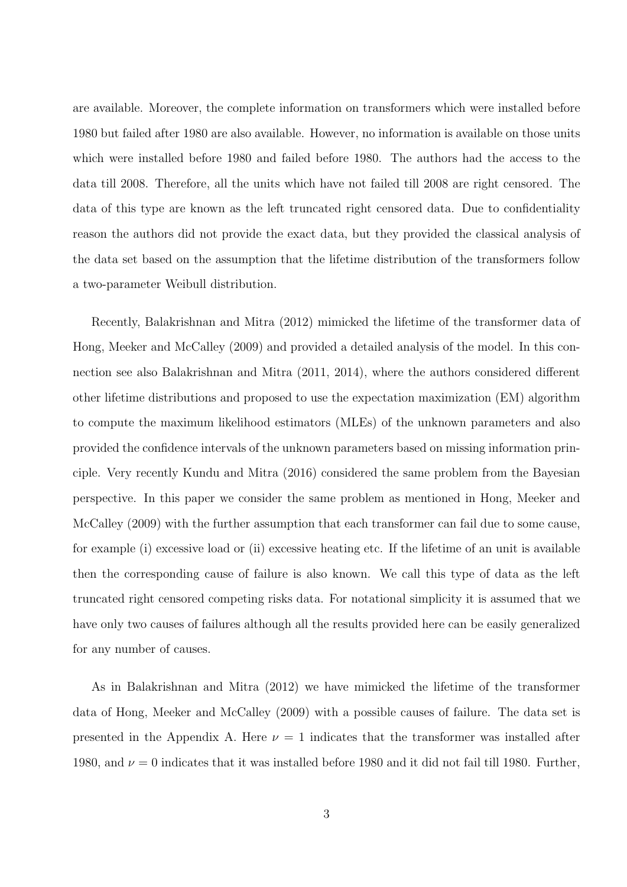are available. Moreover, the complete information on transformers which were installed before 1980 but failed after 1980 are also available. However, no information is available on those units which were installed before 1980 and failed before 1980. The authors had the access to the data till 2008. Therefore, all the units which have not failed till 2008 are right censored. The data of this type are known as the left truncated right censored data. Due to confidentiality reason the authors did not provide the exact data, but they provided the classical analysis of the data set based on the assumption that the lifetime distribution of the transformers follow a two-parameter Weibull distribution.

Recently, Balakrishnan and Mitra (2012) mimicked the lifetime of the transformer data of Hong, Meeker and McCalley (2009) and provided a detailed analysis of the model. In this connection see also Balakrishnan and Mitra (2011, 2014), where the authors considered different other lifetime distributions and proposed to use the expectation maximization (EM) algorithm to compute the maximum likelihood estimators (MLEs) of the unknown parameters and also provided the confidence intervals of the unknown parameters based on missing information principle. Very recently Kundu and Mitra (2016) considered the same problem from the Bayesian perspective. In this paper we consider the same problem as mentioned in Hong, Meeker and McCalley (2009) with the further assumption that each transformer can fail due to some cause, for example (i) excessive load or (ii) excessive heating etc. If the lifetime of an unit is available then the corresponding cause of failure is also known. We call this type of data as the left truncated right censored competing risks data. For notational simplicity it is assumed that we have only two causes of failures although all the results provided here can be easily generalized for any number of causes.

As in Balakrishnan and Mitra (2012) we have mimicked the lifetime of the transformer data of Hong, Meeker and McCalley (2009) with a possible causes of failure. The data set is presented in the Appendix A. Here  $\nu = 1$  indicates that the transformer was installed after 1980, and  $\nu = 0$  indicates that it was installed before 1980 and it did not fail till 1980. Further,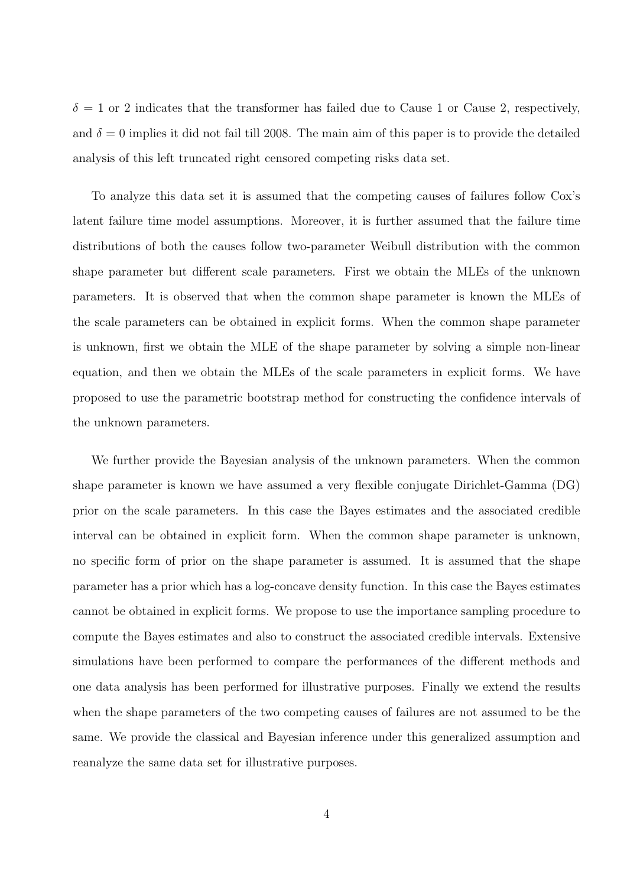$\delta = 1$  or 2 indicates that the transformer has failed due to Cause 1 or Cause 2, respectively, and  $\delta = 0$  implies it did not fail till 2008. The main aim of this paper is to provide the detailed analysis of this left truncated right censored competing risks data set.

To analyze this data set it is assumed that the competing causes of failures follow Cox's latent failure time model assumptions. Moreover, it is further assumed that the failure time distributions of both the causes follow two-parameter Weibull distribution with the common shape parameter but different scale parameters. First we obtain the MLEs of the unknown parameters. It is observed that when the common shape parameter is known the MLEs of the scale parameters can be obtained in explicit forms. When the common shape parameter is unknown, first we obtain the MLE of the shape parameter by solving a simple non-linear equation, and then we obtain the MLEs of the scale parameters in explicit forms. We have proposed to use the parametric bootstrap method for constructing the confidence intervals of the unknown parameters.

We further provide the Bayesian analysis of the unknown parameters. When the common shape parameter is known we have assumed a very flexible conjugate Dirichlet-Gamma (DG) prior on the scale parameters. In this case the Bayes estimates and the associated credible interval can be obtained in explicit form. When the common shape parameter is unknown, no specific form of prior on the shape parameter is assumed. It is assumed that the shape parameter has a prior which has a log-concave density function. In this case the Bayes estimates cannot be obtained in explicit forms. We propose to use the importance sampling procedure to compute the Bayes estimates and also to construct the associated credible intervals. Extensive simulations have been performed to compare the performances of the different methods and one data analysis has been performed for illustrative purposes. Finally we extend the results when the shape parameters of the two competing causes of failures are not assumed to be the same. We provide the classical and Bayesian inference under this generalized assumption and reanalyze the same data set for illustrative purposes.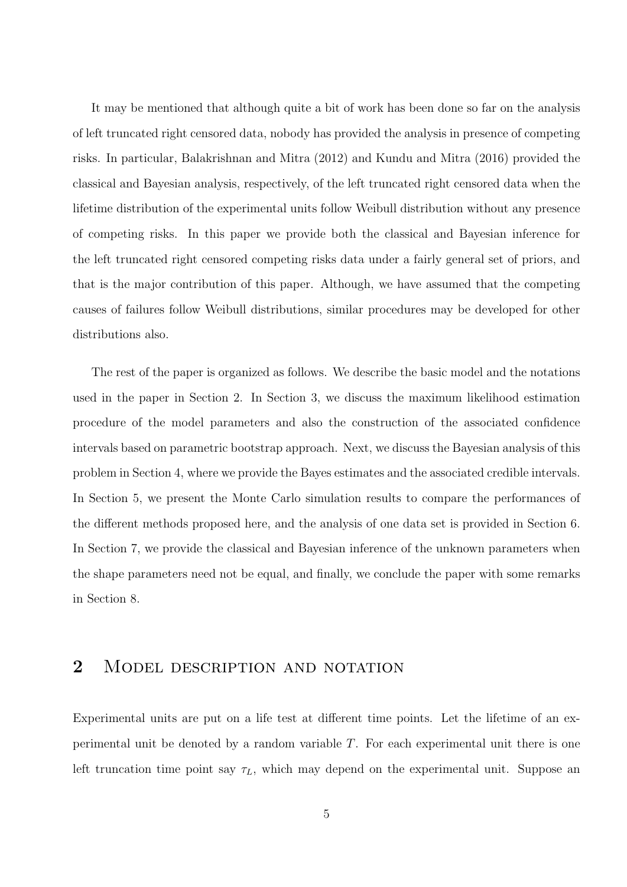It may be mentioned that although quite a bit of work has been done so far on the analysis of left truncated right censored data, nobody has provided the analysis in presence of competing risks. In particular, Balakrishnan and Mitra (2012) and Kundu and Mitra (2016) provided the classical and Bayesian analysis, respectively, of the left truncated right censored data when the lifetime distribution of the experimental units follow Weibull distribution without any presence of competing risks. In this paper we provide both the classical and Bayesian inference for the left truncated right censored competing risks data under a fairly general set of priors, and that is the major contribution of this paper. Although, we have assumed that the competing causes of failures follow Weibull distributions, similar procedures may be developed for other distributions also.

The rest of the paper is organized as follows. We describe the basic model and the notations used in the paper in Section 2. In Section 3, we discuss the maximum likelihood estimation procedure of the model parameters and also the construction of the associated confidence intervals based on parametric bootstrap approach. Next, we discuss the Bayesian analysis of this problem in Section 4, where we provide the Bayes estimates and the associated credible intervals. In Section 5, we present the Monte Carlo simulation results to compare the performances of the different methods proposed here, and the analysis of one data set is provided in Section 6. In Section 7, we provide the classical and Bayesian inference of the unknown parameters when the shape parameters need not be equal, and finally, we conclude the paper with some remarks in Section 8.

### 2 MODEL DESCRIPTION AND NOTATION

Experimental units are put on a life test at different time points. Let the lifetime of an experimental unit be denoted by a random variable T. For each experimental unit there is one left truncation time point say  $\tau_L$ , which may depend on the experimental unit. Suppose an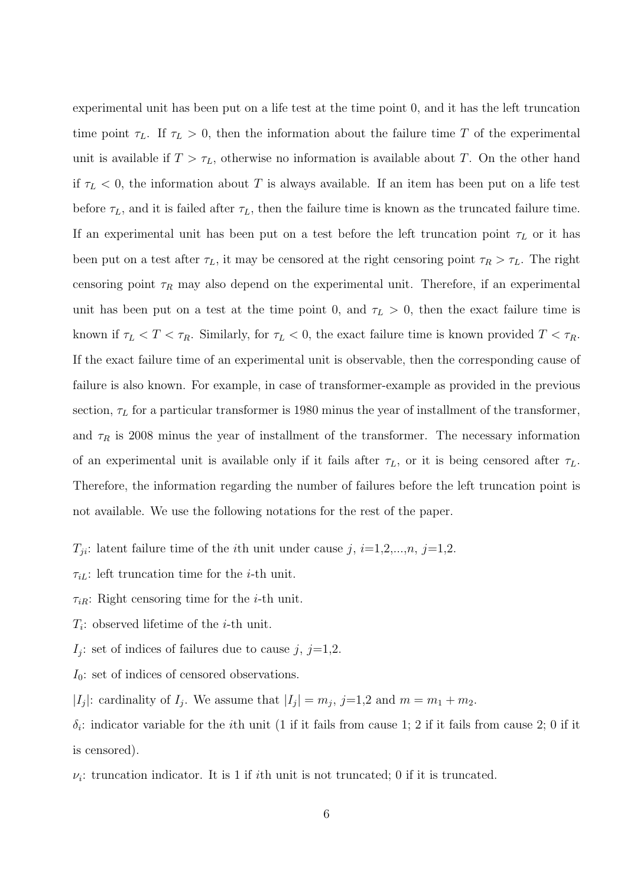experimental unit has been put on a life test at the time point 0, and it has the left truncation time point  $\tau_L$ . If  $\tau_L > 0$ , then the information about the failure time T of the experimental unit is available if  $T > \tau_L$ , otherwise no information is available about T. On the other hand if  $\tau_L < 0$ , the information about T is always available. If an item has been put on a life test before  $\tau_L$ , and it is failed after  $\tau_L$ , then the failure time is known as the truncated failure time. If an experimental unit has been put on a test before the left truncation point  $\tau_L$  or it has been put on a test after  $\tau_L$ , it may be censored at the right censoring point  $\tau_R > \tau_L$ . The right censoring point  $\tau_R$  may also depend on the experimental unit. Therefore, if an experimental unit has been put on a test at the time point 0, and  $\tau_L > 0$ , then the exact failure time is known if  $\tau_L < T < \tau_R$ . Similarly, for  $\tau_L < 0$ , the exact failure time is known provided  $T < \tau_R$ . If the exact failure time of an experimental unit is observable, then the corresponding cause of failure is also known. For example, in case of transformer-example as provided in the previous section,  $\tau_L$  for a particular transformer is 1980 minus the year of installment of the transformer, and  $\tau_R$  is 2008 minus the year of installment of the transformer. The necessary information of an experimental unit is available only if it fails after  $\tau_L$ , or it is being censored after  $\tau_L$ . Therefore, the information regarding the number of failures before the left truncation point is not available. We use the following notations for the rest of the paper.

- $T_{ji}$ : latent failure time of the *i*th unit under cause j,  $i=1,2,...,n$ ,  $j=1,2$ .
- $\tau_{iL}$ : left truncation time for the *i*-th unit.
- $\tau_{iR}$ : Right censoring time for the *i*-th unit.
- $T_i$ : observed lifetime of the *i*-th unit.
- $I_j$ : set of indices of failures due to cause j, j=1,2.
- $I_0$ : set of indices of censored observations.

 $|I_j|$ : cardinality of  $I_j$ . We assume that  $|I_j| = m_j$ , j=1,2 and  $m = m_1 + m_2$ .

 $\delta_i$ : indicator variable for the *i*th unit (1 if it fails from cause 1; 2 if it fails from cause 2; 0 if it is censored).

 $\nu_i$ : truncation indicator. It is 1 if *i*th unit is not truncated; 0 if it is truncated.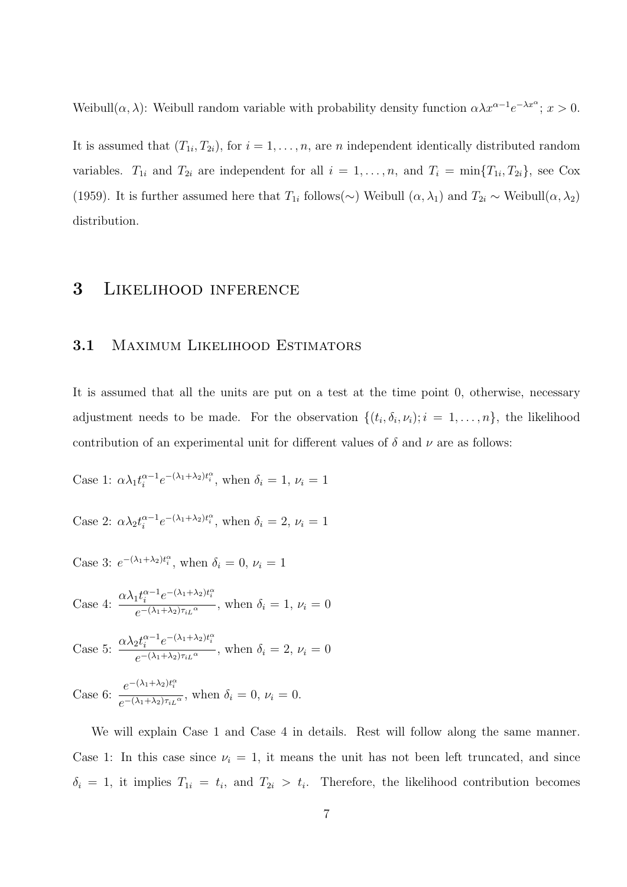Weibull $(\alpha, \lambda)$ : Weibull random variable with probability density function  $\alpha \lambda x^{\alpha-1} e^{-\lambda x^{\alpha}}$ ;  $x > 0$ .

It is assumed that  $(T_{1i}, T_{2i})$ , for  $i = 1, \ldots, n$ , are *n* independent identically distributed random variables.  $T_{1i}$  and  $T_{2i}$  are independent for all  $i = 1, \ldots, n$ , and  $T_i = \min\{T_{1i}, T_{2i}\}$ , see Cox (1959). It is further assumed here that  $T_{1i}$  follows( $\sim$ ) Weibull  $(\alpha, \lambda_1)$  and  $T_{2i} \sim$  Weibull $(\alpha, \lambda_2)$ distribution.

### 3 Likelihood inference

### 3.1 MAXIMUM LIKELIHOOD ESTIMATORS

It is assumed that all the units are put on a test at the time point 0, otherwise, necessary adjustment needs to be made. For the observation  $\{(t_i, \delta_i, \nu_i); i = 1, \ldots, n\}$ , the likelihood contribution of an experimental unit for different values of  $\delta$  and  $\nu$  are as follows:

Case 1: 
$$
\alpha \lambda_1 t_i^{\alpha-1} e^{-(\lambda_1 + \lambda_2)t_i^{\alpha}}
$$
, when  $\delta_i = 1$ ,  $\nu_i = 1$ 

Case 2:  $\alpha \lambda_2 t_i^{\alpha-1}$  $\sum_{i=1}^{\alpha-1} e^{-(\lambda_1+\lambda_2)t_i^{\alpha}},$  when  $\delta_i=2, \nu_i=1$ 

Case 3:  $e^{-(\lambda_1 + \lambda_2)t_i^{\alpha}}$ , when  $\delta_i = 0$ ,  $\nu_i = 1$ 

Case 4: 
$$
\frac{\alpha \lambda_1 t_i^{\alpha-1} e^{-(\lambda_1 + \lambda_2)t_i^{\alpha}}}{e^{-(\lambda_1 + \lambda_2)\tau_{iL}^{\alpha}}}
$$
, when  $\delta_i = 1$ ,  $\nu_i = 0$ 

Case 5: 
$$
\frac{\alpha \lambda_2 t_i^{\alpha-1} e^{-(\lambda_1 + \lambda_2)t_i^{\alpha}}}{e^{-(\lambda_1 + \lambda_2)\tau_{iL}^{\alpha}}}, \text{ when } \delta_i = 2, \nu_i = 0
$$

Case 6:  $\frac{e^{-(\lambda_1+\lambda_2)t_i^{\alpha}}}{(\lambda_1+\lambda_2)x_i^{\alpha}}$  $\frac{\partial}{\partial e^{-(\lambda_1+\lambda_2)\tau_{iL}^{\alpha}}},$  when  $\delta_i=0, \nu_i=0.$ 

We will explain Case 1 and Case 4 in details. Rest will follow along the same manner. Case 1: In this case since  $\nu_i = 1$ , it means the unit has not been left truncated, and since  $\delta_i = 1$ , it implies  $T_{1i} = t_i$ , and  $T_{2i} > t_i$ . Therefore, the likelihood contribution becomes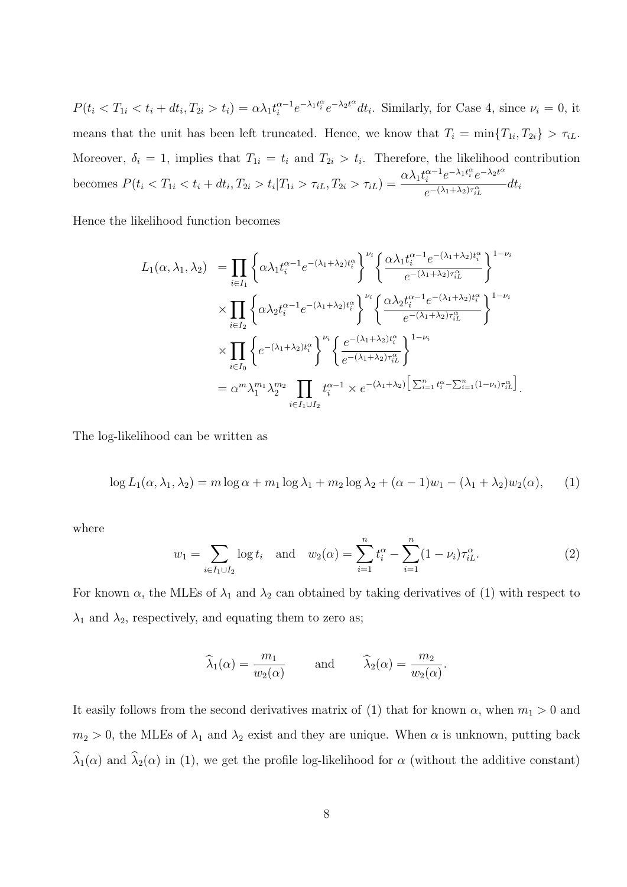$P(t_i < T_{1i} < t_i + dt_i, T_{2i} > t_i) = \alpha \lambda_1 t_i^{\alpha - 1}$  $a_i^{\alpha-1}e^{-\lambda_1t_i^{\alpha}}e^{-\lambda_2t^{\alpha}}dt_i$ . Similarly, for Case 4, since  $\nu_i = 0$ , it means that the unit has been left truncated. Hence, we know that  $T_i = \min\{T_{1i}, T_{2i}\} > \tau_{iL}$ . Moreover,  $\delta_i = 1$ , implies that  $T_{1i} = t_i$  and  $T_{2i} > t_i$ . Therefore, the likelihood contribution becomes  $P(t_i < T_{1i} < t_i + dt_i, T_{2i} > t_i | T_{1i} > T_{iL}, T_{2i} > T_{iL}) = \frac{\alpha \lambda_1 t_i^{\alpha-1}}{t_i}$  $\int_{i}^{\alpha-1} e^{-\lambda_1 t_i^{\alpha}} e^{-\lambda_2 t^{\alpha}}$  $e^{-(\lambda_1+\lambda_2)\tau_{iL}^{\alpha}}$  dt<sub>i</sub>

Hence the likelihood function becomes

$$
L_1(\alpha, \lambda_1, \lambda_2) = \prod_{i \in I_1} \left\{ \alpha \lambda_1 t_i^{\alpha - 1} e^{-(\lambda_1 + \lambda_2) t_i^{\alpha}} \right\}^{\nu_i} \left\{ \frac{\alpha \lambda_1 t_i^{\alpha - 1} e^{-(\lambda_1 + \lambda_2) t_i^{\alpha}}}{e^{-(\lambda_1 + \lambda_2) \tau_{iL}^{\alpha}}} \right\}^{1 - \nu_i}
$$
  
\n
$$
\times \prod_{i \in I_2} \left\{ \alpha \lambda_2 t_i^{\alpha - 1} e^{-(\lambda_1 + \lambda_2) t_i^{\alpha}} \right\}^{\nu_i} \left\{ \frac{\alpha \lambda_2 t_i^{\alpha - 1} e^{-(\lambda_1 + \lambda_2) t_i^{\alpha}}}{e^{-(\lambda_1 + \lambda_2) \tau_{iL}^{\alpha}}} \right\}^{1 - \nu_i}
$$
  
\n
$$
\times \prod_{i \in I_0} \left\{ e^{-(\lambda_1 + \lambda_2) t_i^{\alpha}} \right\}^{\nu_i} \left\{ \frac{e^{-(\lambda_1 + \lambda_2) t_i^{\alpha}}}{e^{-(\lambda_1 + \lambda_2) \tau_{iL}^{\alpha}}} \right\}^{1 - \nu_i}
$$
  
\n
$$
= \alpha^m \lambda_1^{m_1} \lambda_2^{m_2} \prod_{i \in I_1 \cup I_2} t_i^{\alpha - 1} \times e^{-(\lambda_1 + \lambda_2) \left[ \sum_{i=1}^n t_i^{\alpha} - \sum_{i=1}^n (1 - \nu_i) \tau_{iL}^{\alpha} \right]}.
$$

The log-likelihood can be written as

$$
\log L_1(\alpha, \lambda_1, \lambda_2) = m \log \alpha + m_1 \log \lambda_1 + m_2 \log \lambda_2 + (\alpha - 1)w_1 - (\lambda_1 + \lambda_2)w_2(\alpha), \quad (1)
$$

where

$$
w_1 = \sum_{i \in I_1 \cup I_2} \log t_i \quad \text{and} \quad w_2(\alpha) = \sum_{i=1}^n t_i^{\alpha} - \sum_{i=1}^n (1 - \nu_i) \tau_{iL}^{\alpha}.
$$
 (2)

For known  $\alpha$ , the MLEs of  $\lambda_1$  and  $\lambda_2$  can obtained by taking derivatives of (1) with respect to  $\lambda_1$  and  $\lambda_2$ , respectively, and equating them to zero as;

$$
\widehat{\lambda}_1(\alpha) = \frac{m_1}{w_2(\alpha)}
$$
 and  $\widehat{\lambda}_2(\alpha) = \frac{m_2}{w_2(\alpha)}$ .

It easily follows from the second derivatives matrix of (1) that for known  $\alpha$ , when  $m_1 > 0$  and  $m_2 > 0$ , the MLEs of  $\lambda_1$  and  $\lambda_2$  exist and they are unique. When  $\alpha$  is unknown, putting back  $\widehat{\lambda}_1(\alpha)$  and  $\widehat{\lambda}_2(\alpha)$  in (1), we get the profile log-likelihood for  $\alpha$  (without the additive constant)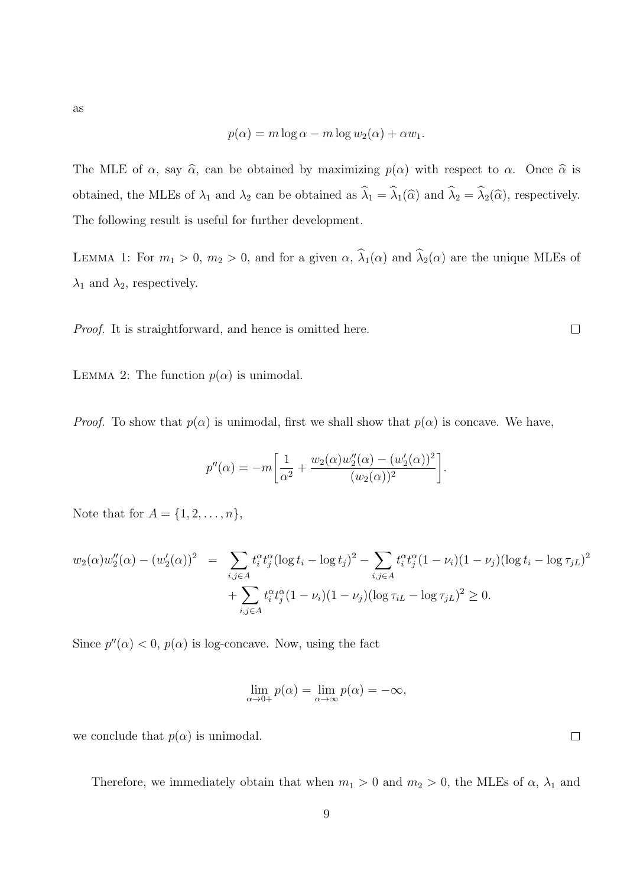$$
p(\alpha) = m \log \alpha - m \log w_2(\alpha) + \alpha w_1.
$$

The MLE of  $\alpha$ , say  $\hat{\alpha}$ , can be obtained by maximizing  $p(\alpha)$  with respect to  $\alpha$ . Once  $\hat{\alpha}$  is obtained, the MLEs of  $\lambda_1$  and  $\lambda_2$  can be obtained as  $\widehat{\lambda}_1 = \widehat{\lambda}_1(\widehat{\alpha})$  and  $\widehat{\lambda}_2 = \widehat{\lambda}_2(\widehat{\alpha})$ , respectively. The following result is useful for further development.

LEMMA 1: For  $m_1 > 0$ ,  $m_2 > 0$ , and for a given  $\alpha$ ,  $\hat{\lambda}_1(\alpha)$  and  $\hat{\lambda}_2(\alpha)$  are the unique MLEs of  $\lambda_1$  and  $\lambda_2$ , respectively.

Proof. It is straightforward, and hence is omitted here.

LEMMA 2: The function  $p(\alpha)$  is unimodal.

*Proof.* To show that  $p(\alpha)$  is unimodal, first we shall show that  $p(\alpha)$  is concave. We have,

$$
p''(\alpha) = -m \left[ \frac{1}{\alpha^2} + \frac{w_2(\alpha)w_2''(\alpha) - (w_2'(\alpha))^2}{(w_2(\alpha))^2} \right].
$$

Note that for  $A = \{1, 2, ..., n\},\$ 

$$
w_2(\alpha)w_2''(\alpha) - (w_2'(\alpha))^2 = \sum_{i,j \in A} t_i^{\alpha} t_j^{\alpha} (\log t_i - \log t_j)^2 - \sum_{i,j \in A} t_i^{\alpha} t_j^{\alpha} (1 - \nu_i)(1 - \nu_j)(\log t_i - \log \tau_{jL})^2
$$

$$
+ \sum_{i,j \in A} t_i^{\alpha} t_j^{\alpha} (1 - \nu_i)(1 - \nu_j)(\log \tau_{iL} - \log \tau_{jL})^2 \ge 0.
$$

Since  $p''(\alpha) < 0$ ,  $p(\alpha)$  is log-concave. Now, using the fact

$$
\lim_{\alpha \to 0+} p(\alpha) = \lim_{\alpha \to \infty} p(\alpha) = -\infty,
$$

we conclude that  $p(\alpha)$  is unimodal.

Therefore, we immediately obtain that when  $m_1 > 0$  and  $m_2 > 0$ , the MLEs of  $\alpha$ ,  $\lambda_1$  and

as

 $\Box$ 

 $\Box$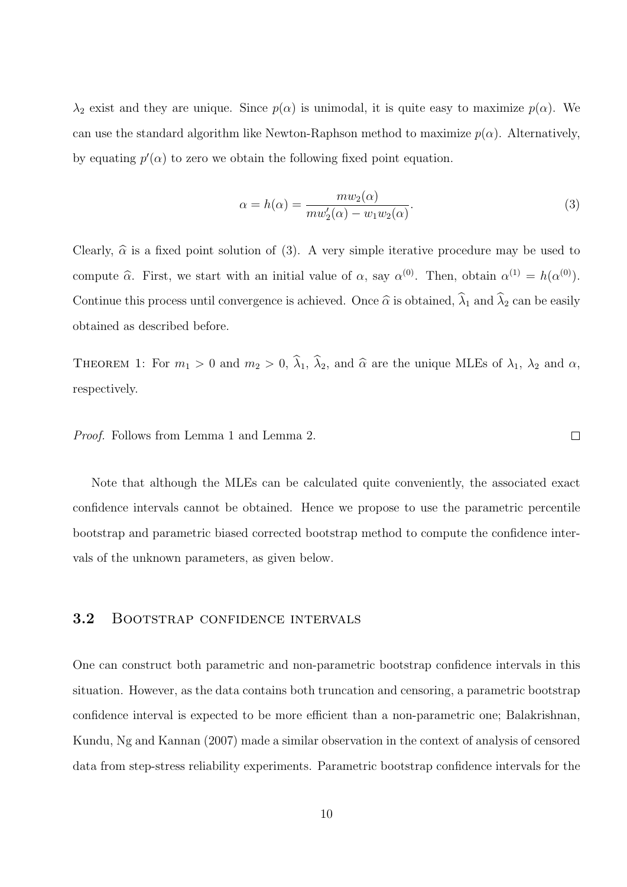$\lambda_2$  exist and they are unique. Since  $p(\alpha)$  is unimodal, it is quite easy to maximize  $p(\alpha)$ . We can use the standard algorithm like Newton-Raphson method to maximize  $p(\alpha)$ . Alternatively, by equating  $p'(\alpha)$  to zero we obtain the following fixed point equation.

$$
\alpha = h(\alpha) = \frac{m w_2(\alpha)}{m w_2'(\alpha) - w_1 w_2(\alpha)}.
$$
\n(3)

 $\Box$ 

Clearly,  $\hat{\alpha}$  is a fixed point solution of (3). A very simple iterative procedure may be used to compute  $\hat{\alpha}$ . First, we start with an initial value of  $\alpha$ , say  $\alpha^{(0)}$ . Then, obtain  $\alpha^{(1)} = h(\alpha^{(0)})$ . Continue this process until convergence is achieved. Once  $\widehat{\alpha}$  is obtained,  $\widehat{\lambda}_1$  and  $\widehat{\lambda}_2$  can be easily obtained as described before.

THEOREM 1: For  $m_1 > 0$  and  $m_2 > 0$ ,  $\hat{\lambda}_1$ ,  $\hat{\lambda}_2$ , and  $\hat{\alpha}$  are the unique MLEs of  $\lambda_1$ ,  $\lambda_2$  and  $\alpha$ , respectively.

#### Proof. Follows from Lemma 1 and Lemma 2.

Note that although the MLEs can be calculated quite conveniently, the associated exact confidence intervals cannot be obtained. Hence we propose to use the parametric percentile bootstrap and parametric biased corrected bootstrap method to compute the confidence intervals of the unknown parameters, as given below.

### 3.2 BOOTSTRAP CONFIDENCE INTERVALS

One can construct both parametric and non-parametric bootstrap confidence intervals in this situation. However, as the data contains both truncation and censoring, a parametric bootstrap confidence interval is expected to be more efficient than a non-parametric one; Balakrishnan, Kundu, Ng and Kannan (2007) made a similar observation in the context of analysis of censored data from step-stress reliability experiments. Parametric bootstrap confidence intervals for the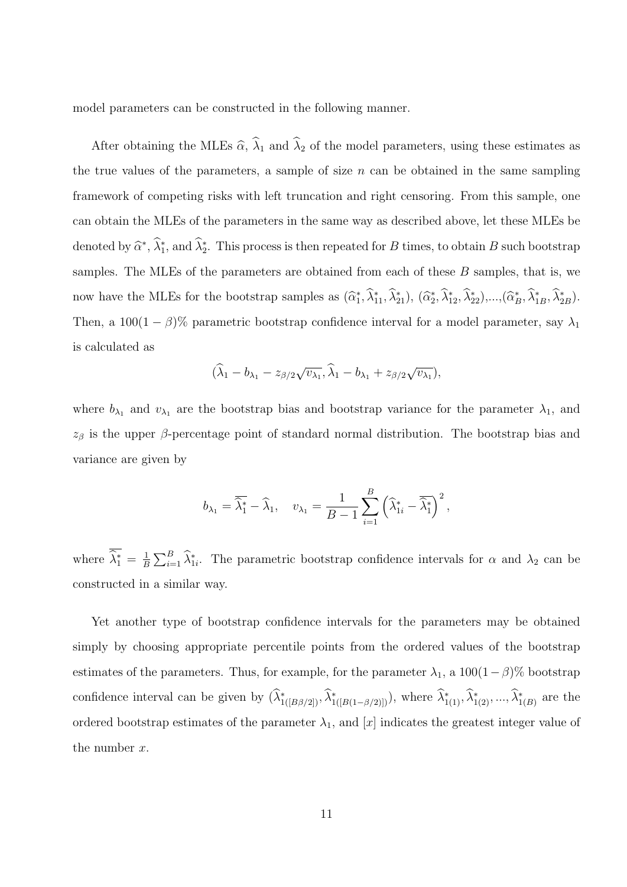model parameters can be constructed in the following manner.

After obtaining the MLEs  $\hat{\alpha}$ ,  $\hat{\lambda}_1$  and  $\hat{\lambda}_2$  of the model parameters, using these estimates as the true values of the parameters, a sample of size  $n$  can be obtained in the same sampling framework of competing risks with left truncation and right censoring. From this sample, one can obtain the MLEs of the parameters in the same way as described above, let these MLEs be denoted by  $\hat{\alpha}^*, \hat{\lambda}_1^*,$  and  $\hat{\lambda}_2^*$ . This process is then repeated for B times, to obtain B such bootstrap samples. The MLEs of the parameters are obtained from each of these  $B$  samples, that is, we now have the MLEs for the bootstrap samples as  $(\hat{\alpha}_1^*, \hat{\lambda}_{11}^*, \hat{\lambda}_{21}^*)$ ,  $(\hat{\alpha}_2^*, \hat{\lambda}_{12}^*, \hat{\lambda}_{22}^*)$ ,..., $(\hat{\alpha}_B^*, \hat{\lambda}_{1B}^*, \hat{\lambda}_{2B}^*)$ . Then, a 100(1 –  $\beta$ )% parametric bootstrap confidence interval for a model parameter, say  $\lambda_1$ is calculated as

$$
(\widehat{\lambda}_1 - b_{\lambda_1} - z_{\beta/2} \sqrt{v_{\lambda_1}}, \widehat{\lambda}_1 - b_{\lambda_1} + z_{\beta/2} \sqrt{v_{\lambda_1}}),
$$

where  $b_{\lambda_1}$  and  $v_{\lambda_1}$  are the bootstrap bias and bootstrap variance for the parameter  $\lambda_1$ , and  $z_{\beta}$  is the upper  $\beta$ -percentage point of standard normal distribution. The bootstrap bias and variance are given by

$$
b_{\lambda_1} = \overline{\hat{\lambda}_1^*} - \hat{\lambda}_1, \quad v_{\lambda_1} = \frac{1}{B-1} \sum_{i=1}^B \left( \widehat{\lambda}_{1i}^* - \overline{\hat{\lambda}_1^*} \right)^2,
$$

where  $\hat{\lambda}_1^* = \frac{1}{B}$  $\frac{1}{B}\sum_{i=1}^{B} \hat{\lambda}_{1i}^{*}$ . The parametric bootstrap confidence intervals for  $\alpha$  and  $\lambda_2$  can be constructed in a similar way.

Yet another type of bootstrap confidence intervals for the parameters may be obtained simply by choosing appropriate percentile points from the ordered values of the bootstrap estimates of the parameters. Thus, for example, for the parameter  $\lambda_1$ , a 100(1−β)% bootstrap confidence interval can be given by  $(\lambda^*_{1([B\beta/2])}, \lambda^*_{1([B(1-\beta/2)])})$ , where  $\lambda^*_{1(1)}, \lambda^*_{1(2)}, ..., \lambda^*_{1(B)}$  are the ordered bootstrap estimates of the parameter  $\lambda_1$ , and [x] indicates the greatest integer value of the number x.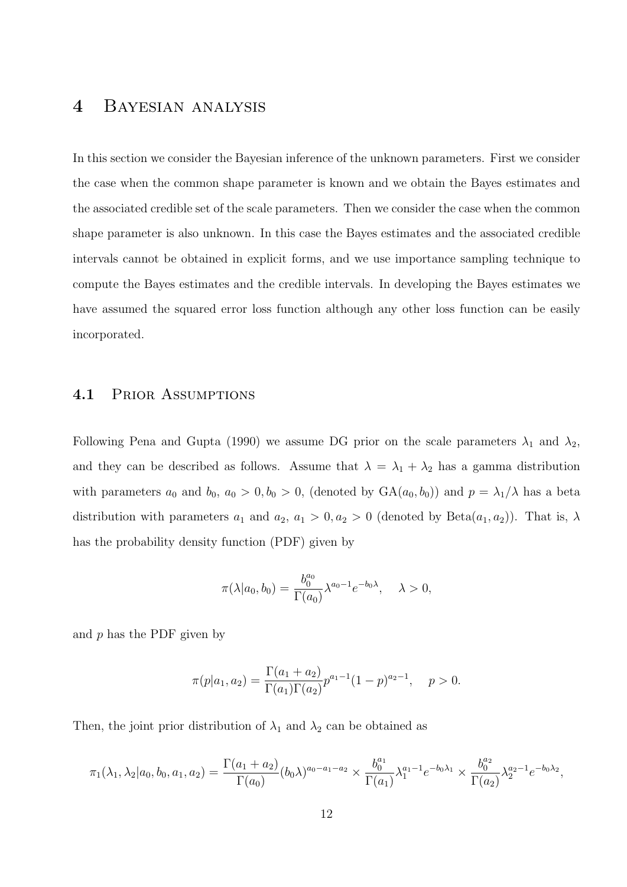### 4 Bayesian analysis

In this section we consider the Bayesian inference of the unknown parameters. First we consider the case when the common shape parameter is known and we obtain the Bayes estimates and the associated credible set of the scale parameters. Then we consider the case when the common shape parameter is also unknown. In this case the Bayes estimates and the associated credible intervals cannot be obtained in explicit forms, and we use importance sampling technique to compute the Bayes estimates and the credible intervals. In developing the Bayes estimates we have assumed the squared error loss function although any other loss function can be easily incorporated.

### 4.1 Prior Assumptions

Following Pena and Gupta (1990) we assume DG prior on the scale parameters  $\lambda_1$  and  $\lambda_2$ , and they can be described as follows. Assume that  $\lambda = \lambda_1 + \lambda_2$  has a gamma distribution with parameters  $a_0$  and  $b_0$ ,  $a_0 > 0$ ,  $b_0 > 0$ , (denoted by  $GA(a_0, b_0)$ ) and  $p = \lambda_1/\lambda$  has a beta distribution with parameters  $a_1$  and  $a_2$ ,  $a_1 > 0$ ,  $a_2 > 0$  (denoted by Beta $(a_1, a_2)$ ). That is,  $\lambda$ has the probability density function (PDF) given by

$$
\pi(\lambda|a_0, b_0) = \frac{b_0^{a_0}}{\Gamma(a_0)} \lambda^{a_0 - 1} e^{-b_0 \lambda}, \quad \lambda > 0,
$$

and  $p$  has the PDF given by

$$
\pi(p|a_1, a_2) = \frac{\Gamma(a_1 + a_2)}{\Gamma(a_1)\Gamma(a_2)} p^{a_1 - 1} (1 - p)^{a_2 - 1}, \quad p > 0.
$$

Then, the joint prior distribution of  $\lambda_1$  and  $\lambda_2$  can be obtained as

$$
\pi_1(\lambda_1, \lambda_2 | a_0, b_0, a_1, a_2) = \frac{\Gamma(a_1 + a_2)}{\Gamma(a_0)} (b_0 \lambda)^{a_0 - a_1 - a_2} \times \frac{b_0^{a_1}}{\Gamma(a_1)} \lambda_1^{a_1 - 1} e^{-b_0 \lambda_1} \times \frac{b_0^{a_2}}{\Gamma(a_2)} \lambda_2^{a_2 - 1} e^{-b_0 \lambda_2},
$$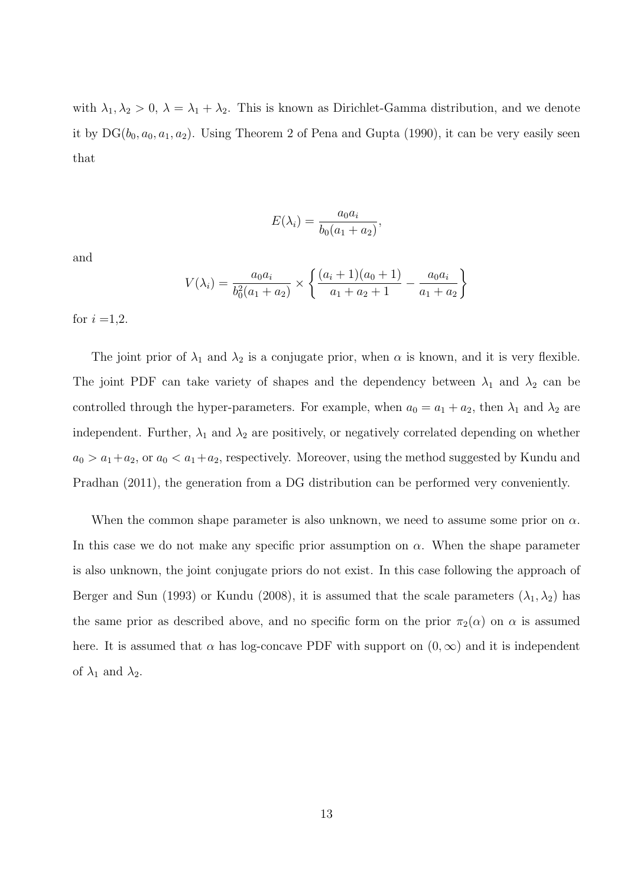with  $\lambda_1, \lambda_2 > 0$ ,  $\lambda = \lambda_1 + \lambda_2$ . This is known as Dirichlet-Gamma distribution, and we denote it by  $DG(b_0, a_0, a_1, a_2)$ . Using Theorem 2 of Pena and Gupta (1990), it can be very easily seen that

$$
E(\lambda_i) = \frac{a_0 a_i}{b_0 (a_1 + a_2)},
$$

and

$$
V(\lambda_i) = \frac{a_0 a_i}{b_0^2 (a_1 + a_2)} \times \left\{ \frac{(a_i + 1)(a_0 + 1)}{a_1 + a_2 + 1} - \frac{a_0 a_i}{a_1 + a_2} \right\}
$$

for  $i = 1,2$ .

The joint prior of  $\lambda_1$  and  $\lambda_2$  is a conjugate prior, when  $\alpha$  is known, and it is very flexible. The joint PDF can take variety of shapes and the dependency between  $\lambda_1$  and  $\lambda_2$  can be controlled through the hyper-parameters. For example, when  $a_0 = a_1 + a_2$ , then  $\lambda_1$  and  $\lambda_2$  are independent. Further,  $\lambda_1$  and  $\lambda_2$  are positively, or negatively correlated depending on whether  $a_0 > a_1 + a_2$ , or  $a_0 < a_1 + a_2$ , respectively. Moreover, using the method suggested by Kundu and Pradhan (2011), the generation from a DG distribution can be performed very conveniently.

When the common shape parameter is also unknown, we need to assume some prior on  $\alpha$ . In this case we do not make any specific prior assumption on  $\alpha$ . When the shape parameter is also unknown, the joint conjugate priors do not exist. In this case following the approach of Berger and Sun (1993) or Kundu (2008), it is assumed that the scale parameters  $(\lambda_1, \lambda_2)$  has the same prior as described above, and no specific form on the prior  $\pi_2(\alpha)$  on  $\alpha$  is assumed here. It is assumed that  $\alpha$  has log-concave PDF with support on  $(0,\infty)$  and it is independent of  $\lambda_1$  and  $\lambda_2$ .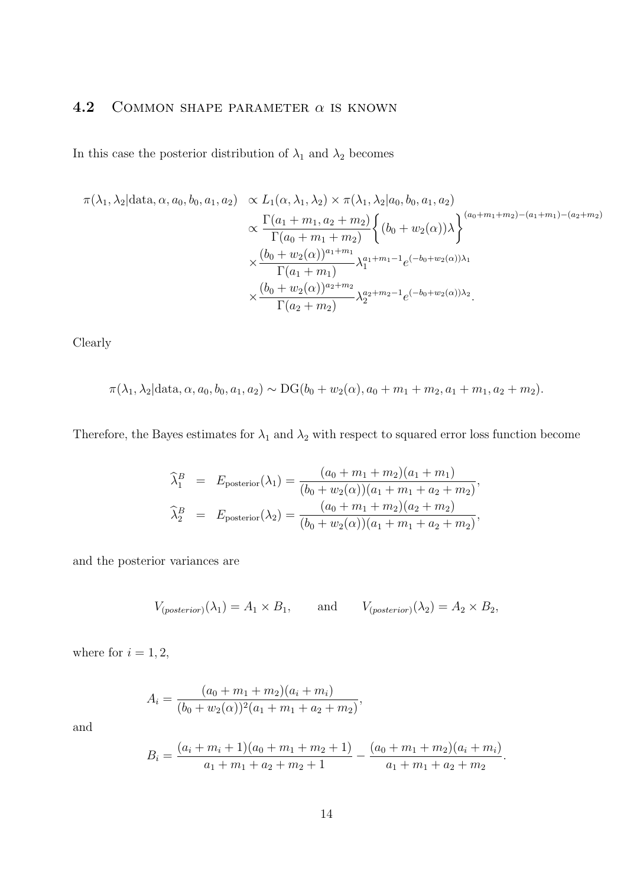### **4.2** COMMON SHAPE PARAMETER  $\alpha$  is known

In this case the posterior distribution of  $\lambda_1$  and  $\lambda_2$  becomes

$$
\pi(\lambda_1, \lambda_2 | \text{data}, \alpha, a_0, b_0, a_1, a_2) \propto L_1(\alpha, \lambda_1, \lambda_2) \times \pi(\lambda_1, \lambda_2 | a_0, b_0, a_1, a_2)
$$

$$
\propto \frac{\Gamma(a_1 + m_1, a_2 + m_2)}{\Gamma(a_0 + m_1 + m_2)} \left\{ (b_0 + w_2(\alpha))\lambda \right\}^{(a_0 + m_1 + m_2) - (a_1 + m_1) - (a_2 + m_2)}
$$

$$
\times \frac{(b_0 + w_2(\alpha))^{a_1 + m_1}}{\Gamma(a_1 + m_1)} \lambda_1^{a_1 + m_1 - 1} e^{(-b_0 + w_2(\alpha))\lambda_1}
$$

$$
\times \frac{(b_0 + w_2(\alpha))^{a_2 + m_2}}{\Gamma(a_2 + m_2)} \lambda_2^{a_2 + m_2 - 1} e^{(-b_0 + w_2(\alpha))\lambda_2}.
$$

Clearly

$$
\pi(\lambda_1, \lambda_2 | \text{data}, \alpha, a_0, b_0, a_1, a_2) \sim \text{DG}(b_0 + w_2(\alpha), a_0 + m_1 + m_2, a_1 + m_1, a_2 + m_2).
$$

Therefore, the Bayes estimates for  $\lambda_1$  and  $\lambda_2$  with respect to squared error loss function become

$$
\widehat{\lambda}_1^B = E_{\text{posterior}}(\lambda_1) = \frac{(a_0 + m_1 + m_2)(a_1 + m_1)}{(b_0 + w_2(\alpha))(a_1 + m_1 + a_2 + m_2)},
$$
  

$$
\widehat{\lambda}_2^B = E_{\text{posterior}}(\lambda_2) = \frac{(a_0 + m_1 + m_2)(a_2 + m_2)}{(b_0 + w_2(\alpha))(a_1 + m_1 + a_2 + m_2)},
$$

and the posterior variances are

$$
V_{(posterior)}(\lambda_1) = A_1 \times B_1
$$
, and  $V_{(posterior)}(\lambda_2) = A_2 \times B_2$ ,

where for  $i = 1, 2$ ,

$$
A_i = \frac{(a_0 + m_1 + m_2)(a_i + m_i)}{(b_0 + w_2(\alpha))^2 (a_1 + m_1 + a_2 + m_2)},
$$

and

$$
B_i = \frac{(a_i + m_i + 1)(a_0 + m_1 + m_2 + 1)}{a_1 + m_1 + a_2 + m_2 + 1} - \frac{(a_0 + m_1 + m_2)(a_i + m_i)}{a_1 + m_1 + a_2 + m_2}.
$$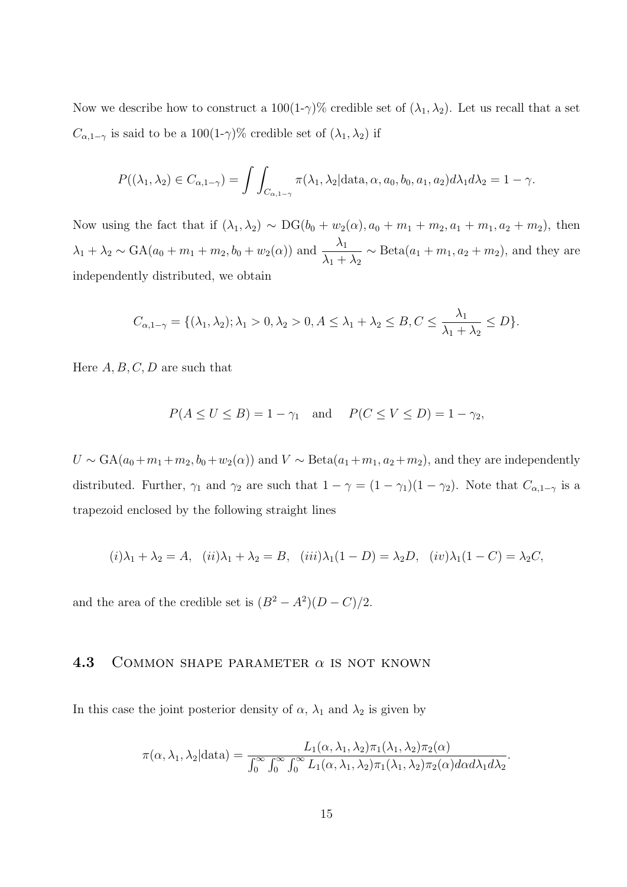Now we describe how to construct a  $100(1-\gamma)\%$  credible set of  $(\lambda_1, \lambda_2)$ . Let us recall that a set  $C_{\alpha,1-\gamma}$  is said to be a 100(1-γ)% credible set of  $(\lambda_1, \lambda_2)$  if

$$
P((\lambda_1, \lambda_2) \in C_{\alpha, 1-\gamma}) = \int \int_{C_{\alpha, 1-\gamma}} \pi(\lambda_1, \lambda_2 | \text{data}, \alpha, a_0, b_0, a_1, a_2) d\lambda_1 d\lambda_2 = 1 - \gamma.
$$

Now using the fact that if  $(\lambda_1, \lambda_2) \sim DG(b_0 + w_2(\alpha), a_0 + m_1 + m_2, a_1 + m_1, a_2 + m_2)$ , then  $\lambda_1 + \lambda_2 \sim \text{GA}(a_0 + m_1 + m_2, b_0 + w_2(\alpha))$  and  $\frac{\lambda_1}{\lambda_2}$  $\lambda_1 + \lambda_2$  $\sim$  Beta $(a_1 + m_1, a_2 + m_2)$ , and they are independently distributed, we obtain

$$
C_{\alpha,1-\gamma} = \{(\lambda_1,\lambda_2); \lambda_1 > 0, \lambda_2 > 0, A \le \lambda_1 + \lambda_2 \le B, C \le \frac{\lambda_1}{\lambda_1 + \lambda_2} \le D\}.
$$

Here  $A, B, C, D$  are such that

$$
P(A \le U \le B) = 1 - \gamma_1 \quad \text{and} \quad P(C \le V \le D) = 1 - \gamma_2,
$$

 $U \sim GA(a_0+m_1+m_2, b_0+w_2(\alpha))$  and  $V \sim Beta(a_1+m_1, a_2+m_2)$ , and they are independently distributed. Further,  $\gamma_1$  and  $\gamma_2$  are such that  $1 - \gamma = (1 - \gamma_1)(1 - \gamma_2)$ . Note that  $C_{\alpha, 1-\gamma}$  is a trapezoid enclosed by the following straight lines

$$
(i)\lambda_1 + \lambda_2 = A, \quad (ii)\lambda_1 + \lambda_2 = B, \quad (iii)\lambda_1(1 - D) = \lambda_2 D, \quad (iv)\lambda_1(1 - C) = \lambda_2 C,
$$

and the area of the credible set is  $(B^2 - A^2)(D - C)/2$ .

### 4.3 COMMON SHAPE PARAMETER  $\alpha$  is not known

In this case the joint posterior density of  $\alpha$ ,  $\lambda_1$  and  $\lambda_2$  is given by

$$
\pi(\alpha,\lambda_1,\lambda_2|\text{data}) = \frac{L_1(\alpha,\lambda_1,\lambda_2)\pi_1(\lambda_1,\lambda_2)\pi_2(\alpha)}{\int_0^\infty \int_0^\infty \int_0^\infty L_1(\alpha,\lambda_1,\lambda_2)\pi_1(\lambda_1,\lambda_2)\pi_2(\alpha)d\alpha d\lambda_1 d\lambda_2}.
$$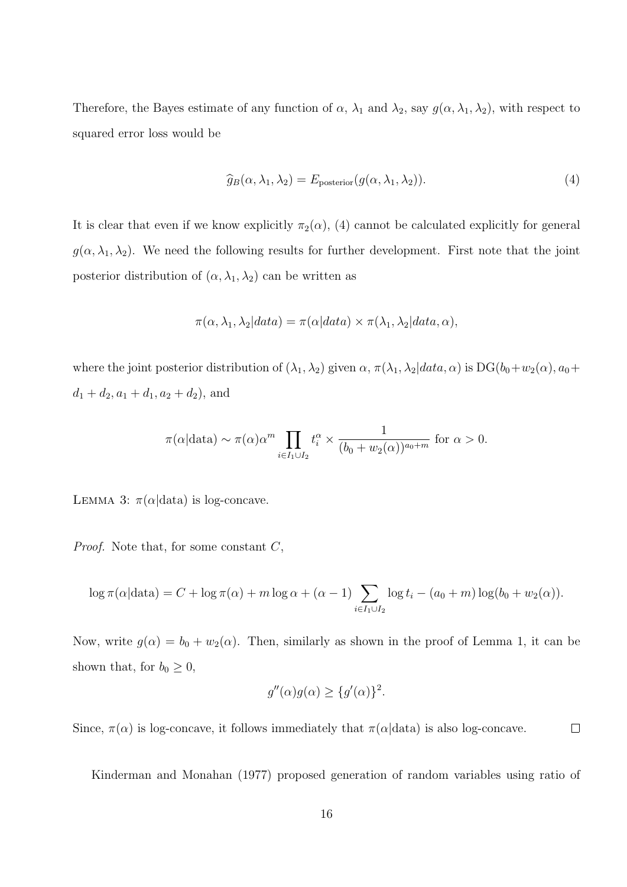Therefore, the Bayes estimate of any function of  $\alpha$ ,  $\lambda_1$  and  $\lambda_2$ , say  $g(\alpha, \lambda_1, \lambda_2)$ , with respect to squared error loss would be

$$
\widehat{g}_B(\alpha, \lambda_1, \lambda_2) = E_{\text{posterior}}(g(\alpha, \lambda_1, \lambda_2)).
$$
\n(4)

It is clear that even if we know explicitly  $\pi_2(\alpha)$ , (4) cannot be calculated explicitly for general  $g(\alpha, \lambda_1, \lambda_2)$ . We need the following results for further development. First note that the joint posterior distribution of  $(\alpha, \lambda_1, \lambda_2)$  can be written as

$$
\pi(\alpha, \lambda_1, \lambda_2 | data) = \pi(\alpha | data) \times \pi(\lambda_1, \lambda_2 | data, \alpha),
$$

where the joint posterior distribution of  $(\lambda_1, \lambda_2)$  given  $\alpha$ ,  $\pi(\lambda_1, \lambda_2|data, \alpha)$  is  $DG(b_0+w_2(\alpha), a_0+\alpha)$  $d_1 + d_2, a_1 + d_1, a_2 + d_2$ , and

$$
\pi(\alpha|\text{data}) \sim \pi(\alpha)\alpha^m \prod_{i \in I_1 \cup I_2} t_i^{\alpha} \times \frac{1}{(b_0 + w_2(\alpha))^{a_0 + m}} \text{ for } \alpha > 0.
$$

LEMMA 3:  $\pi(\alpha|data)$  is log-concave.

Proof. Note that, for some constant C,

$$
\log \pi(\alpha | \text{data}) = C + \log \pi(\alpha) + m \log \alpha + (\alpha - 1) \sum_{i \in I_1 \cup I_2} \log t_i - (a_0 + m) \log (b_0 + w_2(\alpha)).
$$

Now, write  $g(\alpha) = b_0 + w_2(\alpha)$ . Then, similarly as shown in the proof of Lemma 1, it can be shown that, for  $b_0 \geq 0$ ,

$$
g''(\alpha)g(\alpha) \ge \{g'(\alpha)\}^2.
$$

Since,  $\pi(\alpha)$  is log-concave, it follows immediately that  $\pi(\alpha|\text{data})$  is also log-concave.  $\Box$ 

Kinderman and Monahan (1977) proposed generation of random variables using ratio of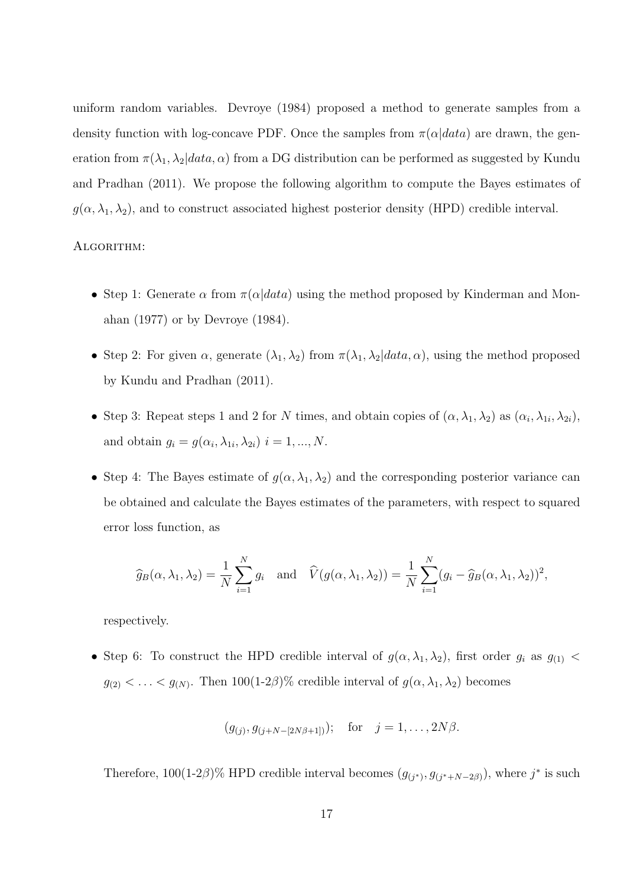uniform random variables. Devroye (1984) proposed a method to generate samples from a density function with log-concave PDF. Once the samples from  $\pi(\alpha|data)$  are drawn, the generation from  $\pi(\lambda_1, \lambda_2|data, \alpha)$  from a DG distribution can be performed as suggested by Kundu and Pradhan (2011). We propose the following algorithm to compute the Bayes estimates of  $g(\alpha, \lambda_1, \lambda_2)$ , and to construct associated highest posterior density (HPD) credible interval.

#### ALGORITHM:

- Step 1: Generate  $\alpha$  from  $\pi(\alpha|data)$  using the method proposed by Kinderman and Monahan (1977) or by Devroye (1984).
- Step 2: For given  $\alpha$ , generate  $(\lambda_1, \lambda_2)$  from  $\pi(\lambda_1, \lambda_2|data, \alpha)$ , using the method proposed by Kundu and Pradhan (2011).
- Step 3: Repeat steps 1 and 2 for N times, and obtain copies of  $(\alpha, \lambda_1, \lambda_2)$  as  $(\alpha_i, \lambda_{1i}, \lambda_{2i})$ , and obtain  $g_i = g(\alpha_i, \lambda_{1i}, \lambda_{2i})$   $i = 1, ..., N$ .
- Step 4: The Bayes estimate of  $g(\alpha, \lambda_1, \lambda_2)$  and the corresponding posterior variance can be obtained and calculate the Bayes estimates of the parameters, with respect to squared error loss function, as

$$
\widehat{g}_B(\alpha, \lambda_1, \lambda_2) = \frac{1}{N} \sum_{i=1}^N g_i
$$
 and  $\widehat{V}(g(\alpha, \lambda_1, \lambda_2)) = \frac{1}{N} \sum_{i=1}^N (g_i - \widehat{g}_B(\alpha, \lambda_1, \lambda_2))^2$ ,

respectively.

• Step 6: To construct the HPD credible interval of  $g(\alpha, \lambda_1, \lambda_2)$ , first order  $g_i$  as  $g_{(1)}$  <  $g_{(2)} < \ldots < g_{(N)}$ . Then 100(1-2 $\beta$ )% credible interval of  $g(\alpha, \lambda_1, \lambda_2)$  becomes

$$
(g_{(j)}, g_{(j+N-[2N\beta+1])});
$$
 for  $j = 1, ..., 2N\beta$ .

Therefore,  $100(1-2\beta)\%$  HPD credible interval becomes  $(g_{(j^*)}, g_{(j^*+N-2\beta)})$ , where  $j^*$  is such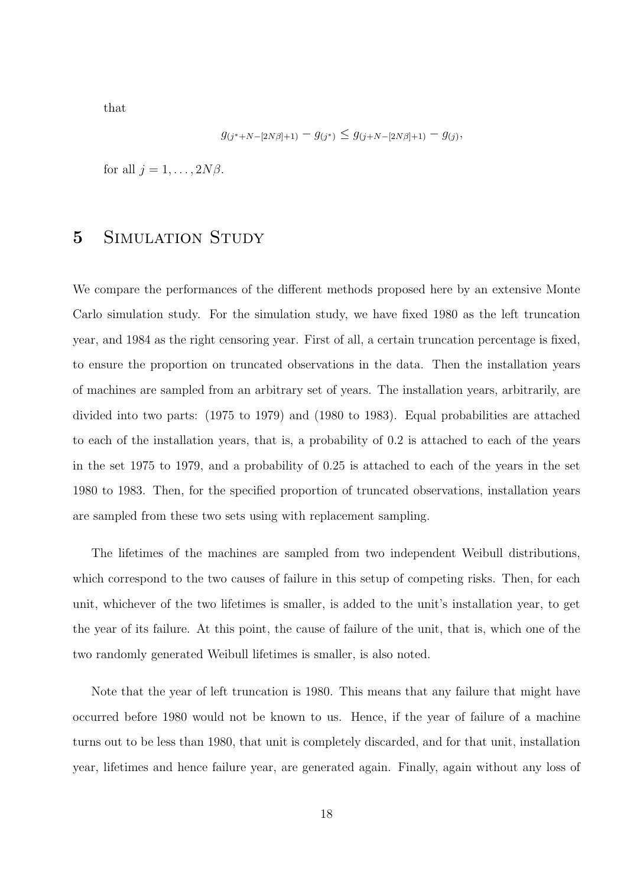that

$$
g_{(j^*+N-[2N\beta]+1)} - g_{(j^*)} \leq g_{(j+N-[2N\beta]+1)} - g_{(j)},
$$

for all  $j = 1, \ldots, 2N\beta$ .

# 5 SIMULATION STUDY

We compare the performances of the different methods proposed here by an extensive Monte Carlo simulation study. For the simulation study, we have fixed 1980 as the left truncation year, and 1984 as the right censoring year. First of all, a certain truncation percentage is fixed, to ensure the proportion on truncated observations in the data. Then the installation years of machines are sampled from an arbitrary set of years. The installation years, arbitrarily, are divided into two parts: (1975 to 1979) and (1980 to 1983). Equal probabilities are attached to each of the installation years, that is, a probability of 0.2 is attached to each of the years in the set 1975 to 1979, and a probability of 0.25 is attached to each of the years in the set 1980 to 1983. Then, for the specified proportion of truncated observations, installation years are sampled from these two sets using with replacement sampling.

The lifetimes of the machines are sampled from two independent Weibull distributions, which correspond to the two causes of failure in this setup of competing risks. Then, for each unit, whichever of the two lifetimes is smaller, is added to the unit's installation year, to get the year of its failure. At this point, the cause of failure of the unit, that is, which one of the two randomly generated Weibull lifetimes is smaller, is also noted.

Note that the year of left truncation is 1980. This means that any failure that might have occurred before 1980 would not be known to us. Hence, if the year of failure of a machine turns out to be less than 1980, that unit is completely discarded, and for that unit, installation year, lifetimes and hence failure year, are generated again. Finally, again without any loss of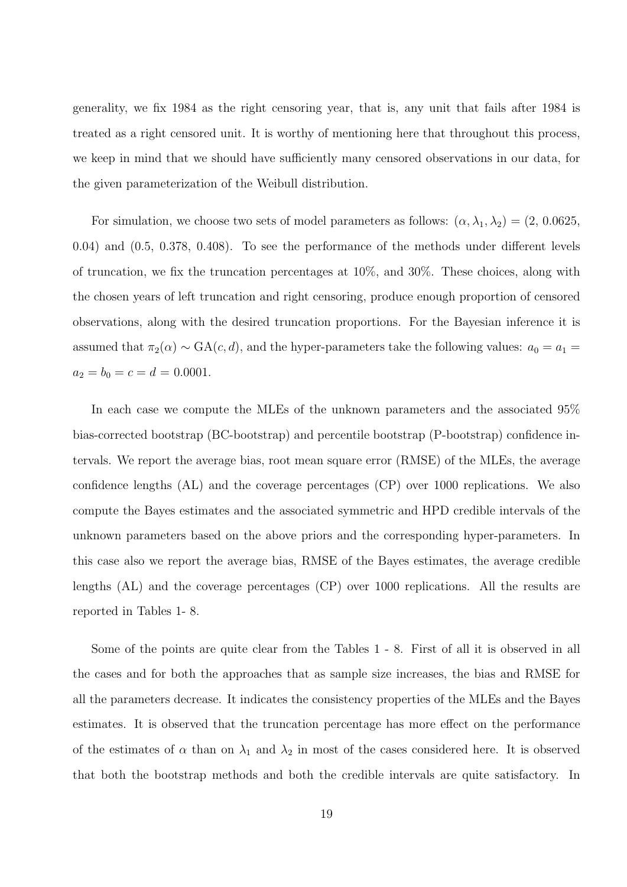generality, we fix 1984 as the right censoring year, that is, any unit that fails after 1984 is treated as a right censored unit. It is worthy of mentioning here that throughout this process, we keep in mind that we should have sufficiently many censored observations in our data, for the given parameterization of the Weibull distribution.

For simulation, we choose two sets of model parameters as follows:  $(\alpha, \lambda_1, \lambda_2) = (2, 0.0625, \lambda_1, \lambda_2)$ 0.04) and (0.5, 0.378, 0.408). To see the performance of the methods under different levels of truncation, we fix the truncation percentages at 10%, and 30%. These choices, along with the chosen years of left truncation and right censoring, produce enough proportion of censored observations, along with the desired truncation proportions. For the Bayesian inference it is assumed that  $\pi_2(\alpha) \sim GA(c, d)$ , and the hyper-parameters take the following values:  $a_0 = a_1 =$  $a_2 = b_0 = c = d = 0.0001.$ 

In each case we compute the MLEs of the unknown parameters and the associated 95% bias-corrected bootstrap (BC-bootstrap) and percentile bootstrap (P-bootstrap) confidence intervals. We report the average bias, root mean square error (RMSE) of the MLEs, the average confidence lengths (AL) and the coverage percentages (CP) over 1000 replications. We also compute the Bayes estimates and the associated symmetric and HPD credible intervals of the unknown parameters based on the above priors and the corresponding hyper-parameters. In this case also we report the average bias, RMSE of the Bayes estimates, the average credible lengths (AL) and the coverage percentages (CP) over 1000 replications. All the results are reported in Tables 1- 8.

Some of the points are quite clear from the Tables 1 - 8. First of all it is observed in all the cases and for both the approaches that as sample size increases, the bias and RMSE for all the parameters decrease. It indicates the consistency properties of the MLEs and the Bayes estimates. It is observed that the truncation percentage has more effect on the performance of the estimates of  $\alpha$  than on  $\lambda_1$  and  $\lambda_2$  in most of the cases considered here. It is observed that both the bootstrap methods and both the credible intervals are quite satisfactory. In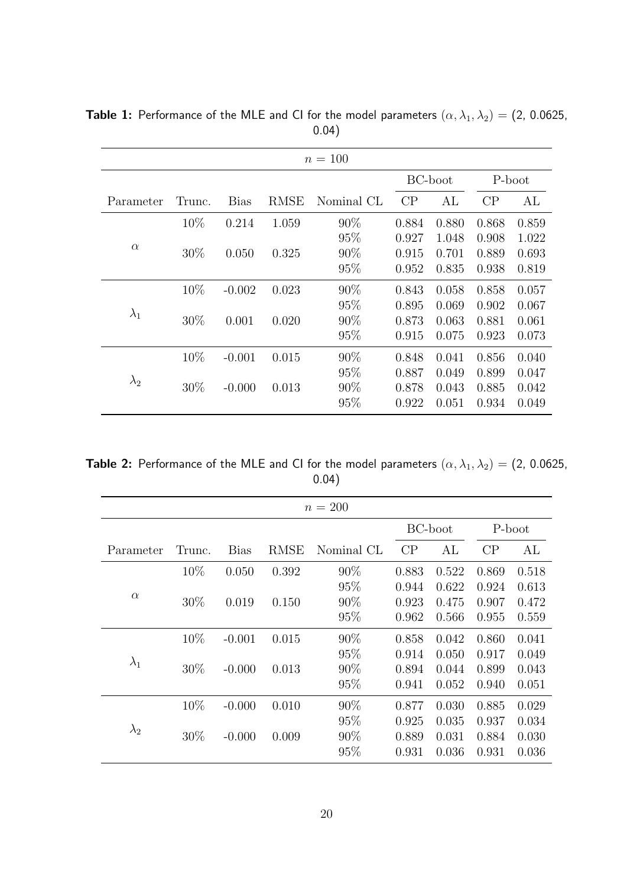|             | $n = 100$ |             |       |            |       |         |        |       |  |  |  |  |  |
|-------------|-----------|-------------|-------|------------|-------|---------|--------|-------|--|--|--|--|--|
|             |           |             |       |            |       | BC-boot | P-boot |       |  |  |  |  |  |
| Parameter   | Trunc.    | <b>Bias</b> | RMSE  | Nominal CL | CP    | AL      | CP     | AL    |  |  |  |  |  |
|             | 10%       | 0.214       | 1.059 | 90%        | 0.884 | 0.880   | 0.868  | 0.859 |  |  |  |  |  |
| $\alpha$    |           |             |       | 95%        | 0.927 | 1.048   | 0.908  | 1.022 |  |  |  |  |  |
|             | 30%       | 0.050       | 0.325 | 90%        | 0.915 | 0.701   | 0.889  | 0.693 |  |  |  |  |  |
|             |           |             |       | 95%        | 0.952 | 0.835   | 0.938  | 0.819 |  |  |  |  |  |
|             | 10%       | $-0.002$    | 0.023 | 90%        | 0.843 | 0.058   | 0.858  | 0.057 |  |  |  |  |  |
|             |           |             |       | 95%        | 0.895 | 0.069   | 0.902  | 0.067 |  |  |  |  |  |
| $\lambda_1$ | 30%       | 0.001       | 0.020 | 90%        | 0.873 | 0.063   | 0.881  | 0.061 |  |  |  |  |  |
|             |           |             |       | 95%        | 0.915 | 0.075   | 0.923  | 0.073 |  |  |  |  |  |
|             | 10%       | $-0.001$    | 0.015 | 90%        | 0.848 | 0.041   | 0.856  | 0.040 |  |  |  |  |  |
|             |           |             |       | 95%        | 0.887 | 0.049   | 0.899  | 0.047 |  |  |  |  |  |
| $\lambda_2$ | 30%       | $-0.000$    | 0.013 | 90%        | 0.878 | 0.043   | 0.885  | 0.042 |  |  |  |  |  |
|             |           |             |       | 95%        | 0.922 | 0.051   | 0.934  | 0.049 |  |  |  |  |  |

**Table 1:** Performance of the MLE and CI for the model parameters  $(\alpha, \lambda_1, \lambda_2) = (2, \, 0.0625, \, 0.0625)$ 0.04)

**Table 2:** Performance of the MLE and CI for the model parameters  $(\alpha, \lambda_1, \lambda_2) = (2, 0.0625,$ 0.04)

|                            | $n = 200$ |             |             |            |       |         |        |       |  |  |  |  |
|----------------------------|-----------|-------------|-------------|------------|-------|---------|--------|-------|--|--|--|--|
|                            |           |             |             |            |       | BC-boot | P-boot |       |  |  |  |  |
| Parameter                  | Trunc.    | <b>Bias</b> | <b>RMSE</b> | Nominal CL | CP    | AL      | CP     | AL    |  |  |  |  |
|                            | 10\%      | 0.050       | 0.392       | 90%        | 0.883 | 0.522   | 0.869  | 0.518 |  |  |  |  |
| $\alpha$                   |           |             |             | 95%        | 0.944 | 0.622   | 0.924  | 0.613 |  |  |  |  |
|                            | 30%       | 0.019       | 0.150       | 90%        | 0.923 | 0.475   | 0.907  | 0.472 |  |  |  |  |
|                            |           |             |             | 95%        | 0.962 | 0.566   | 0.955  | 0.559 |  |  |  |  |
|                            | 10\%      | $-0.001$    | 0.015       | 90%        | 0.858 | 0.042   | 0.860  | 0.041 |  |  |  |  |
|                            |           |             |             | 95%        | 0.914 | 0.050   | 0.917  | 0.049 |  |  |  |  |
|                            | 30%       | $-0.000$    | 0.013       | 90%        | 0.894 | 0.044   | 0.899  | 0.043 |  |  |  |  |
| $\lambda_1$<br>$\lambda_2$ |           |             |             | 95%        | 0.941 | 0.052   | 0.940  | 0.051 |  |  |  |  |
|                            | 10\%      | $-0.000$    | 0.010       | 90%        | 0.877 | 0.030   | 0.885  | 0.029 |  |  |  |  |
|                            |           |             |             | 95%        | 0.925 | 0.035   | 0.937  | 0.034 |  |  |  |  |
|                            | 30%       | $-0.000$    | 0.009       | $90\%$     | 0.889 | 0.031   | 0.884  | 0.030 |  |  |  |  |
|                            |           |             |             | 95%        | 0.931 | 0.036   | 0.931  | 0.036 |  |  |  |  |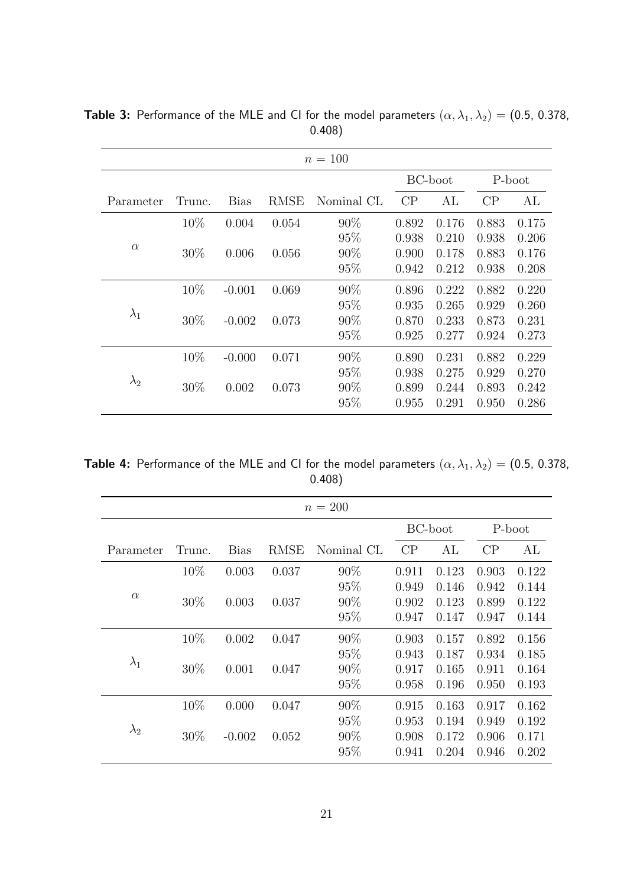|             | $n = 100$ |          |       |            |       |                |        |       |  |  |  |  |  |
|-------------|-----------|----------|-------|------------|-------|----------------|--------|-------|--|--|--|--|--|
|             |           |          |       |            |       | <b>BC-boot</b> | P-boot |       |  |  |  |  |  |
| Parameter   | Trunc.    | Bias     | RMSE  | Nominal CL | CP    | AL             | CP     | AL    |  |  |  |  |  |
|             | 10%       | 0.004    | 0.054 | $90\%$     | 0.892 | 0.176          | 0.883  | 0.175 |  |  |  |  |  |
| $\alpha$    |           |          |       | 95%        | 0.938 | 0.210          | 0.938  | 0.206 |  |  |  |  |  |
|             | 30%       | 0.006    | 0.056 | $90\%$     | 0.900 | 0.178          | 0.883  | 0.176 |  |  |  |  |  |
|             |           |          |       | 95%        | 0.942 | 0.212          | 0.938  | 0.208 |  |  |  |  |  |
|             | 10%       | $-0.001$ | 0.069 | 90%        | 0.896 | 0.222          | 0.882  | 0.220 |  |  |  |  |  |
|             |           |          |       | 95%        | 0.935 | 0.265          | 0.929  | 0.260 |  |  |  |  |  |
| $\lambda_1$ | 30%       | $-0.002$ | 0.073 | $90\%$     | 0.870 | 0.233          | 0.873  | 0.231 |  |  |  |  |  |
|             |           |          |       | 95%        | 0.925 | 0.277          | 0.924  | 0.273 |  |  |  |  |  |
|             | 10%       | $-0.000$ | 0.071 | 90%        | 0.890 | 0.231          | 0.882  | 0.229 |  |  |  |  |  |
|             |           |          |       | 95%        | 0.938 | 0.275          | 0.929  | 0.270 |  |  |  |  |  |
| $\lambda_2$ | 30%       | 0.002    | 0.073 | $90\%$     | 0.899 | 0.244          | 0.893  | 0.242 |  |  |  |  |  |
|             |           |          |       | 95%        | 0.955 | 0.291          | 0.950  | 0.286 |  |  |  |  |  |

**Table 3:** Performance of the MLE and CI for the model parameters  $(\alpha, \lambda_1, \lambda_2) = (0.5, \, 0.378, \, 0.378)$ 0.408)

**Table 4:** Performance of the MLE and CI for the model parameters  $(\alpha, \lambda_1, \lambda_2) = (0.5, \, 0.378, \, 0.378)$ 0.408)

|                            | $n = 200$ |             |             |            |       |         |        |       |  |  |  |  |
|----------------------------|-----------|-------------|-------------|------------|-------|---------|--------|-------|--|--|--|--|
|                            |           |             |             |            |       | BC-boot | P-boot |       |  |  |  |  |
| Parameter                  | Trunc.    | <b>Bias</b> | <b>RMSE</b> | Nominal CL | CP    | AL      | CP     | AL    |  |  |  |  |
|                            | 10\%      | 0.003       | 0.037       | $90\%$     | 0.911 | 0.123   | 0.903  | 0.122 |  |  |  |  |
| $\alpha$                   |           |             |             | 95%        | 0.949 | 0.146   | 0.942  | 0.144 |  |  |  |  |
|                            | 30%       | 0.003       | 0.037       | 90%        | 0.902 | 0.123   | 0.899  | 0.122 |  |  |  |  |
|                            |           |             |             | 95%        | 0.947 | 0.147   | 0.947  | 0.144 |  |  |  |  |
| $\lambda_1$<br>$\lambda_2$ | 10\%      | 0.002       | 0.047       | 90%        | 0.903 | 0.157   | 0.892  | 0.156 |  |  |  |  |
|                            |           |             |             | 95%        | 0.943 | 0.187   | 0.934  | 0.185 |  |  |  |  |
|                            | 30%       | 0.001       | 0.047       | 90%        | 0.917 | 0.165   | 0.911  | 0.164 |  |  |  |  |
|                            |           |             |             | 95%        | 0.958 | 0.196   | 0.950  | 0.193 |  |  |  |  |
|                            | 10\%      | 0.000       | 0.047       | $90\%$     | 0.915 | 0.163   | 0.917  | 0.162 |  |  |  |  |
|                            |           |             |             | 95%        | 0.953 | 0.194   | 0.949  | 0.192 |  |  |  |  |
|                            | 30%       | $-0.002$    | 0.052       | $90\%$     | 0.908 | 0.172   | 0.906  | 0.171 |  |  |  |  |
|                            |           |             |             | 95%        | 0.941 | 0.204   | 0.946  | 0.202 |  |  |  |  |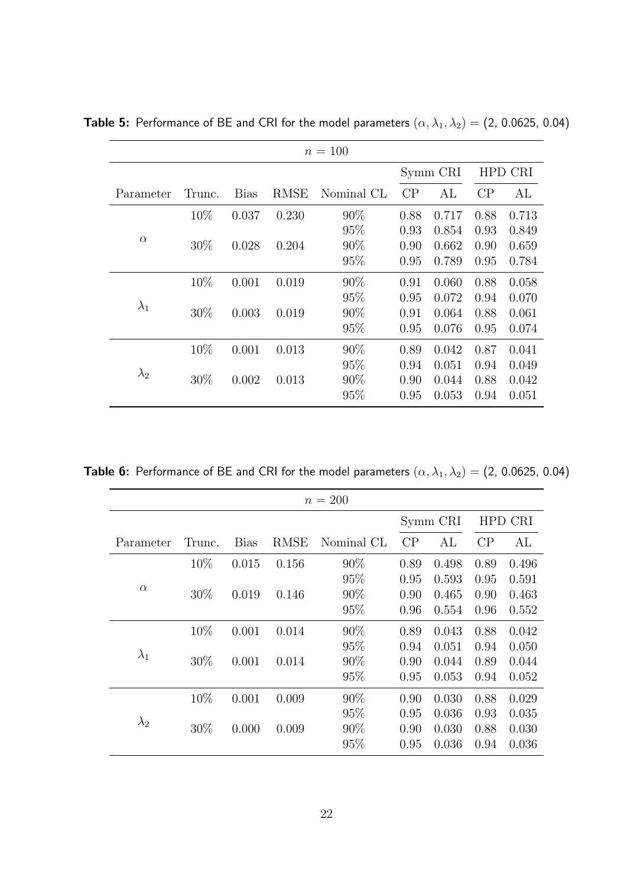| $n = 100$   |        |             |             |            |      |          |         |       |  |  |  |
|-------------|--------|-------------|-------------|------------|------|----------|---------|-------|--|--|--|
|             |        |             |             |            |      | Symm CRI | HPD CRI |       |  |  |  |
| Parameter   | Trunc. | <b>Bias</b> | <b>RMSE</b> | Nominal CL | CP   | AL       | CP      | AL    |  |  |  |
|             | 10%    | 0.037       | 0.230       | $90\%$     | 0.88 | 0.717    | 0.88    | 0.713 |  |  |  |
|             |        |             |             | 95%        | 0.93 | 0.854    | 0.93    | 0.849 |  |  |  |
| $\alpha$    | 30%    | 0.028       | 0.204       | 90%        | 0.90 | 0.662    | 0.90    | 0.659 |  |  |  |
|             |        |             |             | 95%        | 0.95 | 0.789    | 0.95    | 0.784 |  |  |  |
|             | 10%    | 0.001       | 0.019       | 90%        | 0.91 | 0.060    | 0.88    | 0.058 |  |  |  |
|             |        |             |             | 95%        | 0.95 | 0.072    | 0.94    | 0.070 |  |  |  |
| $\lambda_1$ | 30%    | 0.003       | 0.019       | 90%        | 0.91 | 0.064    | 0.88    | 0.061 |  |  |  |
|             |        |             |             | 95%        | 0.95 | 0.076    | 0.95    | 0.074 |  |  |  |
|             | 10%    | 0.001       | 0.013       | $90\%$     | 0.89 | 0.042    | 0.87    | 0.041 |  |  |  |
| $\lambda_2$ |        |             |             | 95%        | 0.94 | 0.051    | 0.94    | 0.049 |  |  |  |
|             | 30%    | 0.002       | 0.013       | 90%        | 0.90 | 0.044    | 0.88    | 0.042 |  |  |  |
|             |        |             |             | 95%        | 0.95 | 0.053    | 0.94    | 0.051 |  |  |  |

**Table 5:** Performance of BE and CRI for the model parameters  $(\alpha, \lambda_1, \lambda_2) = (2, 0.0625, 0.04)$ 

**Table 6:** Performance of BE and CRI for the model parameters  $(\alpha, \lambda_1, \lambda_2) = (2, 0.0625, 0.04)$ 

| $n = 200$   |        |       |       |            |         |       |      |       |  |  |  |  |
|-------------|--------|-------|-------|------------|---------|-------|------|-------|--|--|--|--|
|             |        |       |       | Symm CRI   | HPD CRI |       |      |       |  |  |  |  |
| Parameter   | Trunc. | Bias  | RMSE  | Nominal CL | CP      | AL    | CP   | AL    |  |  |  |  |
|             | 10%    | 0.015 | 0.156 | $90\%$     | 0.89    | 0.498 | 0.89 | 0.496 |  |  |  |  |
| $\alpha$    |        |       |       | 95%        | 0.95    | 0.593 | 0.95 | 0.591 |  |  |  |  |
|             | 30%    | 0.019 | 0.146 | $90\%$     | 0.90    | 0.465 | 0.90 | 0.463 |  |  |  |  |
|             |        |       |       | 95%        | 0.96    | 0.554 | 0.96 | 0.552 |  |  |  |  |
|             | 10%    | 0.001 | 0.014 | 90%        | 0.89    | 0.043 | 0.88 | 0.042 |  |  |  |  |
|             |        |       |       | 95%        | 0.94    | 0.051 | 0.94 | 0.050 |  |  |  |  |
| $\lambda_1$ | 30%    | 0.001 | 0.014 | 90%        | 0.90    | 0.044 | 0.89 | 0.044 |  |  |  |  |
|             |        |       |       | 95%        | 0.95    | 0.053 | 0.94 | 0.052 |  |  |  |  |
|             | 10%    | 0.001 | 0.009 | 90%        | 0.90    | 0.030 | 0.88 | 0.029 |  |  |  |  |
|             |        |       |       | 95%        | 0.95    | 0.036 | 0.93 | 0.035 |  |  |  |  |
| $\lambda_2$ | 30%    | 0.000 | 0.009 | 90%        | 0.90    | 0.030 | 0.88 | 0.030 |  |  |  |  |
|             |        |       |       | 95%        | 0.95    | 0.036 | 0.94 | 0.036 |  |  |  |  |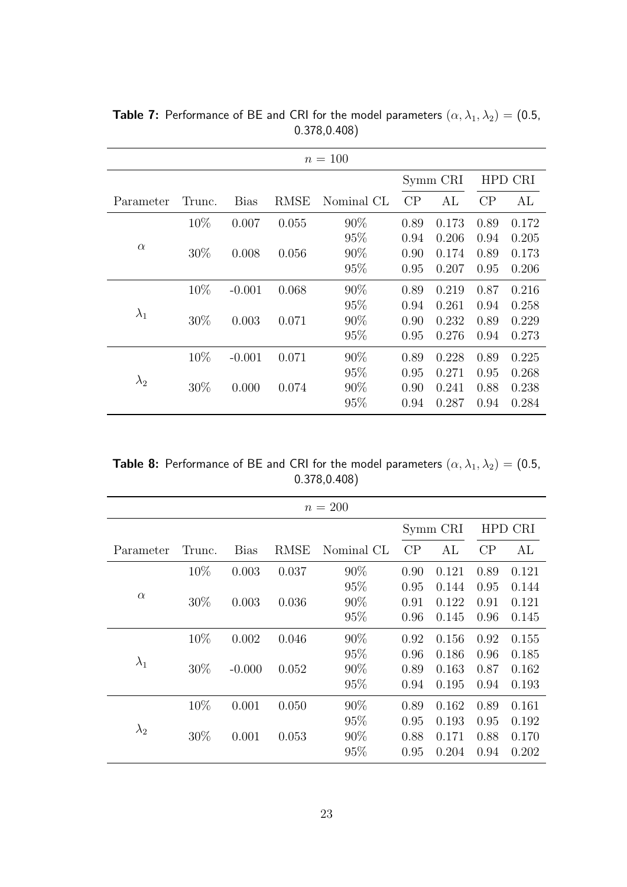| $n = 100$   |        |          |             |            |      |          |         |       |  |  |  |  |
|-------------|--------|----------|-------------|------------|------|----------|---------|-------|--|--|--|--|
|             |        |          |             |            |      | Symm CRI | HPD CRI |       |  |  |  |  |
| Parameter   | Trunc. | Bias     | <b>RMSE</b> | Nominal CL | CP   | AL       | CP      | AL    |  |  |  |  |
|             | 10%    | 0.007    | 0.055       | $90\%$     | 0.89 | 0.173    | 0.89    | 0.172 |  |  |  |  |
|             |        |          |             | 95%        | 0.94 | 0.206    | 0.94    | 0.205 |  |  |  |  |
| $\alpha$    | 30%    | 0.008    | 0.056       | $90\%$     | 0.90 | 0.174    | 0.89    | 0.173 |  |  |  |  |
|             |        |          |             | 95%        | 0.95 | 0.207    | 0.95    | 0.206 |  |  |  |  |
|             | 10%    | $-0.001$ | 0.068       | 90%        | 0.89 | 0.219    | 0.87    | 0.216 |  |  |  |  |
|             |        |          |             | 95%        | 0.94 | 0.261    | 0.94    | 0.258 |  |  |  |  |
| $\lambda_1$ | 30%    | 0.003    | 0.071       | $90\%$     | 0.90 | 0.232    | 0.89    | 0.229 |  |  |  |  |
|             |        |          |             | 95%        | 0.95 | 0.276    | 0.94    | 0.273 |  |  |  |  |
|             | 10%    | $-0.001$ | 0.071       | 90%        | 0.89 | 0.228    | 0.89    | 0.225 |  |  |  |  |
| $\lambda_2$ |        |          |             | 95%        | 0.95 | 0.271    | 0.95    | 0.268 |  |  |  |  |
|             | 30%    | 0.000    | 0.074       | $90\%$     | 0.90 | 0.241    | 0.88    | 0.238 |  |  |  |  |
|             |        |          |             | 95%        | 0.94 | 0.287    | 0.94    | 0.284 |  |  |  |  |

**Table 7:** Performance of BE and CRI for the model parameters  $(\alpha, \lambda_1, \lambda_2) = (0.5, 0.5)$ 0.378,0.408)

**Table 8:** Performance of BE and CRI for the model parameters  $(\alpha, \lambda_1, \lambda_2) = (0.5,$ 0.378,0.408)

| $n = 200$   |        |             |             |            |      |          |         |       |  |  |  |  |
|-------------|--------|-------------|-------------|------------|------|----------|---------|-------|--|--|--|--|
|             |        |             |             |            |      | Symm CRI | HPD CRI |       |  |  |  |  |
| Parameter   | Trunc. | <b>Bias</b> | <b>RMSE</b> | Nominal CL | CP   | AL       | CP      | AL    |  |  |  |  |
|             | 10\%   | 0.003       | 0.037       | $90\%$     | 0.90 | 0.121    | 0.89    | 0.121 |  |  |  |  |
| $\alpha$    |        |             |             | 95%        | 0.95 | 0.144    | 0.95    | 0.144 |  |  |  |  |
|             | 30%    | 0.003       | 0.036       | 90%        | 0.91 | 0.122    | 0.91    | 0.121 |  |  |  |  |
|             |        |             |             | 95%        | 0.96 | 0.145    | 0.96    | 0.145 |  |  |  |  |
|             | 10%    | 0.002       | 0.046       | $90\%$     | 0.92 | 0.156    | 0.92    | 0.155 |  |  |  |  |
|             |        |             |             | 95%        | 0.96 | 0.186    | 0.96    | 0.185 |  |  |  |  |
| $\lambda_1$ | 30%    | $-0.000$    | 0.052       | 90%        | 0.89 | 0.163    | 0.87    | 0.162 |  |  |  |  |
|             |        |             |             | 95%        | 0.94 | 0.195    | 0.94    | 0.193 |  |  |  |  |
|             | 10%    | 0.001       | 0.050       | 90%        | 0.89 | 0.162    | 0.89    | 0.161 |  |  |  |  |
|             |        |             |             | 95%        | 0.95 | 0.193    | 0.95    | 0.192 |  |  |  |  |
| $\lambda_2$ | 30%    | 0.001       | 0.053       | $90\%$     | 0.88 | 0.171    | 0.88    | 0.170 |  |  |  |  |
|             |        |             |             | 95%        | 0.95 | 0.204    | 0.94    | 0.202 |  |  |  |  |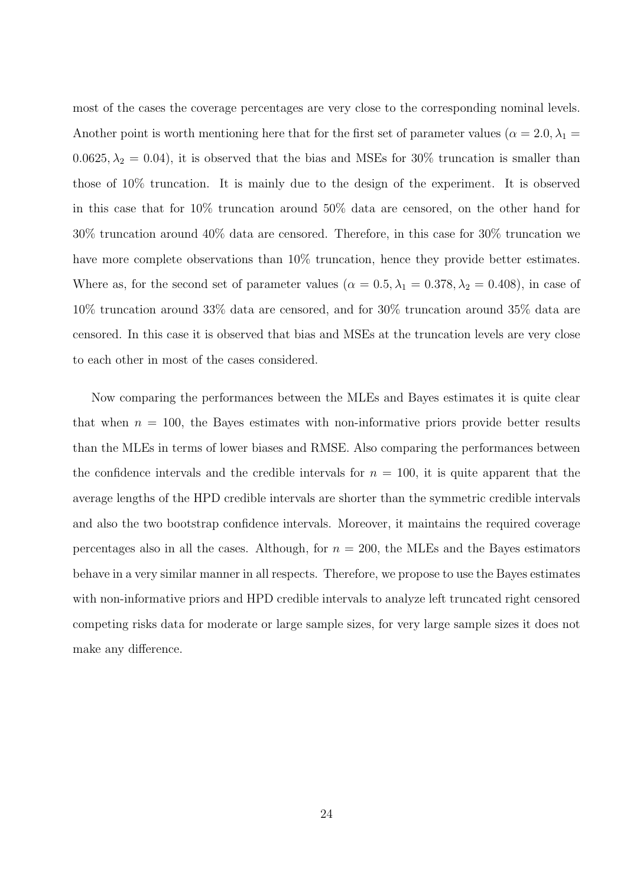most of the cases the coverage percentages are very close to the corresponding nominal levels. Another point is worth mentioning here that for the first set of parameter values ( $\alpha = 2.0, \lambda_1 =$  $0.0625, \lambda_2 = 0.04$ , it is observed that the bias and MSEs for 30% truncation is smaller than those of 10% truncation. It is mainly due to the design of the experiment. It is observed in this case that for 10% truncation around 50% data are censored, on the other hand for 30% truncation around 40% data are censored. Therefore, in this case for 30% truncation we have more complete observations than  $10\%$  truncation, hence they provide better estimates. Where as, for the second set of parameter values ( $\alpha = 0.5, \lambda_1 = 0.378, \lambda_2 = 0.408$ ), in case of 10% truncation around 33% data are censored, and for 30% truncation around 35% data are censored. In this case it is observed that bias and MSEs at the truncation levels are very close to each other in most of the cases considered.

Now comparing the performances between the MLEs and Bayes estimates it is quite clear that when  $n = 100$ , the Bayes estimates with non-informative priors provide better results than the MLEs in terms of lower biases and RMSE. Also comparing the performances between the confidence intervals and the credible intervals for  $n = 100$ , it is quite apparent that the average lengths of the HPD credible intervals are shorter than the symmetric credible intervals and also the two bootstrap confidence intervals. Moreover, it maintains the required coverage percentages also in all the cases. Although, for  $n = 200$ , the MLEs and the Bayes estimators behave in a very similar manner in all respects. Therefore, we propose to use the Bayes estimates with non-informative priors and HPD credible intervals to analyze left truncated right censored competing risks data for moderate or large sample sizes, for very large sample sizes it does not make any difference.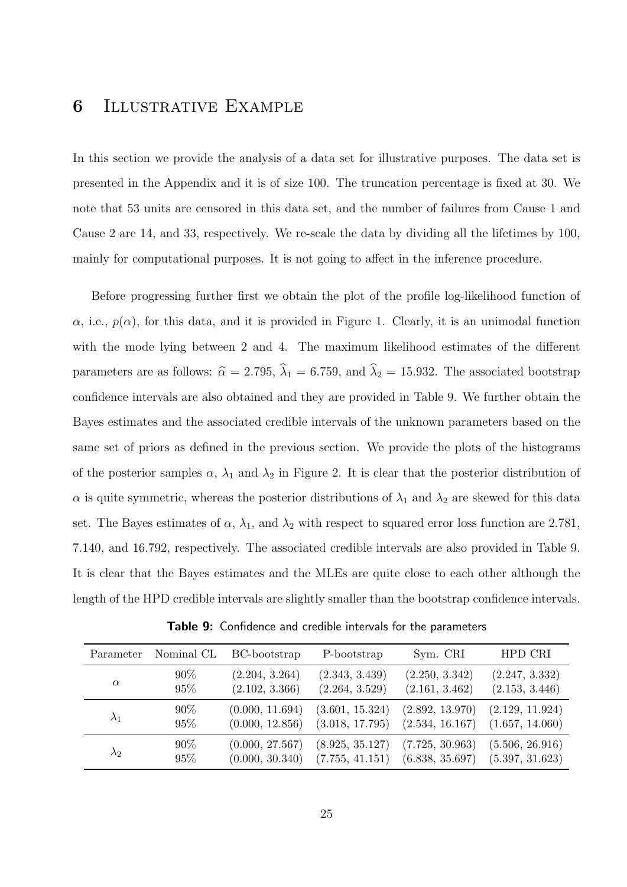# 6 Illustrative Example

In this section we provide the analysis of a data set for illustrative purposes. The data set is presented in the Appendix and it is of size 100. The truncation percentage is fixed at 30. We note that 53 units are censored in this data set, and the number of failures from Cause 1 and Cause 2 are 14, and 33, respectively. We re-scale the data by dividing all the lifetimes by 100, mainly for computational purposes. It is not going to affect in the inference procedure.

Before progressing further first we obtain the plot of the profile log-likelihood function of  $\alpha$ , i.e.,  $p(\alpha)$ , for this data, and it is provided in Figure 1. Clearly, it is an unimodal function with the mode lying between 2 and 4. The maximum likelihood estimates of the different parameters are as follows:  $\hat{\alpha} = 2.795$ ,  $\hat{\lambda}_1 = 6.759$ , and  $\hat{\lambda}_2 = 15.932$ . The associated bootstrap confidence intervals are also obtained and they are provided in Table 9. We further obtain the Bayes estimates and the associated credible intervals of the unknown parameters based on the same set of priors as defined in the previous section. We provide the plots of the histograms of the posterior samples  $\alpha$ ,  $\lambda_1$  and  $\lambda_2$  in Figure 2. It is clear that the posterior distribution of  $\alpha$  is quite symmetric, whereas the posterior distributions of  $\lambda_1$  and  $\lambda_2$  are skewed for this data set. The Bayes estimates of  $\alpha$ ,  $\lambda_1$ , and  $\lambda_2$  with respect to squared error loss function are 2.781, 7.140, and 16.792, respectively. The associated credible intervals are also provided in Table 9. It is clear that the Bayes estimates and the MLEs are quite close to each other although the length of the HPD credible intervals are slightly smaller than the bootstrap confidence intervals.

| Parameter   | Nominal CL | BC-bootstrap    | P-bootstrap     | Sym. CRI        | HPD CRI         |
|-------------|------------|-----------------|-----------------|-----------------|-----------------|
| $\alpha$    | $90\%$     | (2.204, 3.264)  | (2.343, 3.439)  | (2.250, 3.342)  | (2.247, 3.332)  |
|             | 95%        | (2.102, 3.366)  | (2.264, 3.529)  | (2.161, 3.462)  | (2.153, 3.446)  |
| $\lambda_1$ | $90\%$     | (0.000, 11.694) | (3.601, 15.324) | (2.892, 13.970) | (2.129, 11.924) |
|             | 95%        | (0.000, 12.856) | (3.018, 17.795) | (2.534, 16.167) | (1.657, 14.060) |
| $\lambda_2$ | $90\%$     | (0.000, 27.567) | (8.925, 35.127) | (7.725, 30.963) | (5.506, 26.916) |
|             | 95%        | (0.000, 30.340) | (7.755, 41.151) | (6.838, 35.697) | (5.397, 31.623) |

Table 9: Confidence and credible intervals for the parameters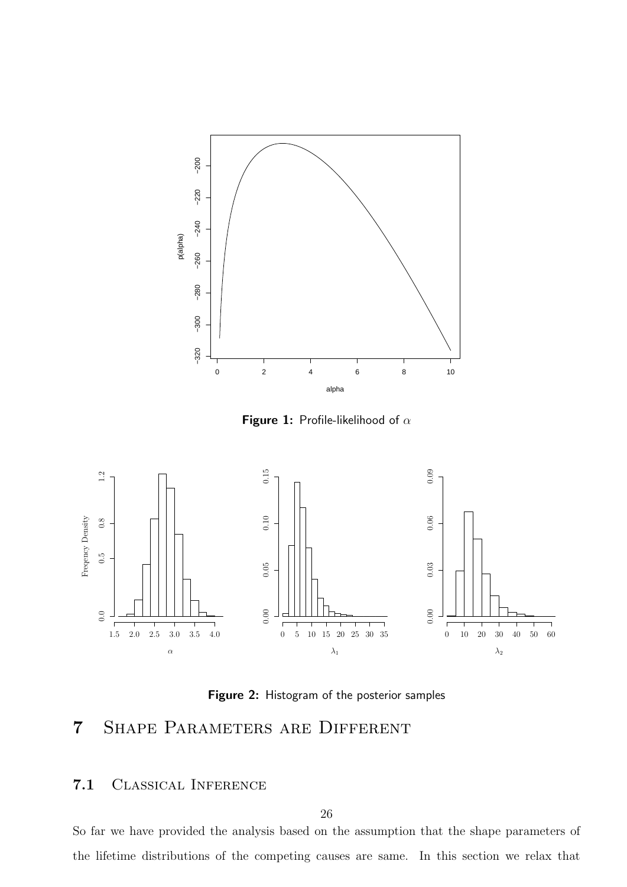

Figure 1: Profile-likelihood of  $\alpha$ 



Figure 2: Histogram of the posterior samples

# 7 Shape Parameters are Different

## 7.1 Classical Inference

26

So far we have provided the analysis based on the assumption that the shape parameters of the lifetime distributions of the competing causes are same. In this section we relax that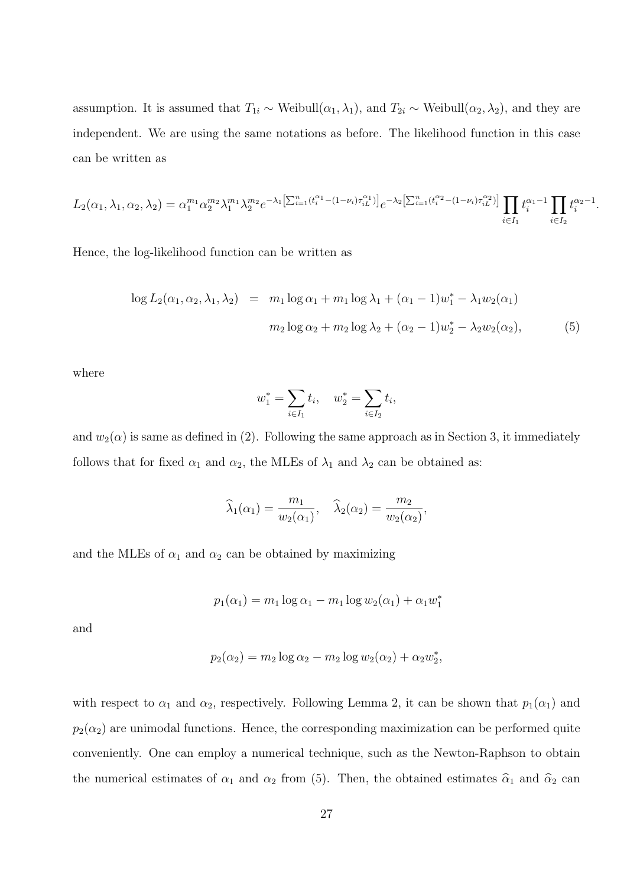assumption. It is assumed that  $T_{1i} \sim$  Weibull $(\alpha_1, \lambda_1)$ , and  $T_{2i} \sim$  Weibull $(\alpha_2, \lambda_2)$ , and they are independent. We are using the same notations as before. The likelihood function in this case can be written as

$$
L_2(\alpha_1, \lambda_1, \alpha_2, \lambda_2) = \alpha_1^{m_1} \alpha_2^{m_2} \lambda_1^{m_1} \lambda_2^{m_2} e^{-\lambda_1 \left[\sum_{i=1}^n (t_i^{\alpha_1} - (1-\nu_i)\tau_{iL}^{\alpha_1})\right]} e^{-\lambda_2 \left[\sum_{i=1}^n (t_i^{\alpha_2} - (1-\nu_i)\tau_{iL}^{\alpha_2})\right]} \prod_{i \in I_1} t_i^{\alpha_1 - 1} \prod_{i \in I_2} t_i^{\alpha_2 - 1}.
$$

Hence, the log-likelihood function can be written as

$$
\log L_2(\alpha_1, \alpha_2, \lambda_1, \lambda_2) = m_1 \log \alpha_1 + m_1 \log \lambda_1 + (\alpha_1 - 1)w_1^* - \lambda_1 w_2(\alpha_1)
$$
  

$$
m_2 \log \alpha_2 + m_2 \log \lambda_2 + (\alpha_2 - 1)w_2^* - \lambda_2 w_2(\alpha_2),
$$
 (5)

where

$$
w_1^* = \sum_{i \in I_1} t_i, \quad w_2^* = \sum_{i \in I_2} t_i,
$$

and  $w_2(\alpha)$  is same as defined in (2). Following the same approach as in Section 3, it immediately follows that for fixed  $\alpha_1$  and  $\alpha_2$ , the MLEs of  $\lambda_1$  and  $\lambda_2$  can be obtained as:

$$
\widehat{\lambda}_1(\alpha_1) = \frac{m_1}{w_2(\alpha_1)}, \quad \widehat{\lambda}_2(\alpha_2) = \frac{m_2}{w_2(\alpha_2)},
$$

and the MLEs of  $\alpha_1$  and  $\alpha_2$  can be obtained by maximizing

$$
p_1(\alpha_1) = m_1 \log \alpha_1 - m_1 \log w_2(\alpha_1) + \alpha_1 w_1^*
$$

and

$$
p_2(\alpha_2) = m_2 \log \alpha_2 - m_2 \log w_2(\alpha_2) + \alpha_2 w_2^*,
$$

with respect to  $\alpha_1$  and  $\alpha_2$ , respectively. Following Lemma 2, it can be shown that  $p_1(\alpha_1)$  and  $p_2(\alpha_2)$  are unimodal functions. Hence, the corresponding maximization can be performed quite conveniently. One can employ a numerical technique, such as the Newton-Raphson to obtain the numerical estimates of  $\alpha_1$  and  $\alpha_2$  from (5). Then, the obtained estimates  $\hat{\alpha}_1$  and  $\hat{\alpha}_2$  can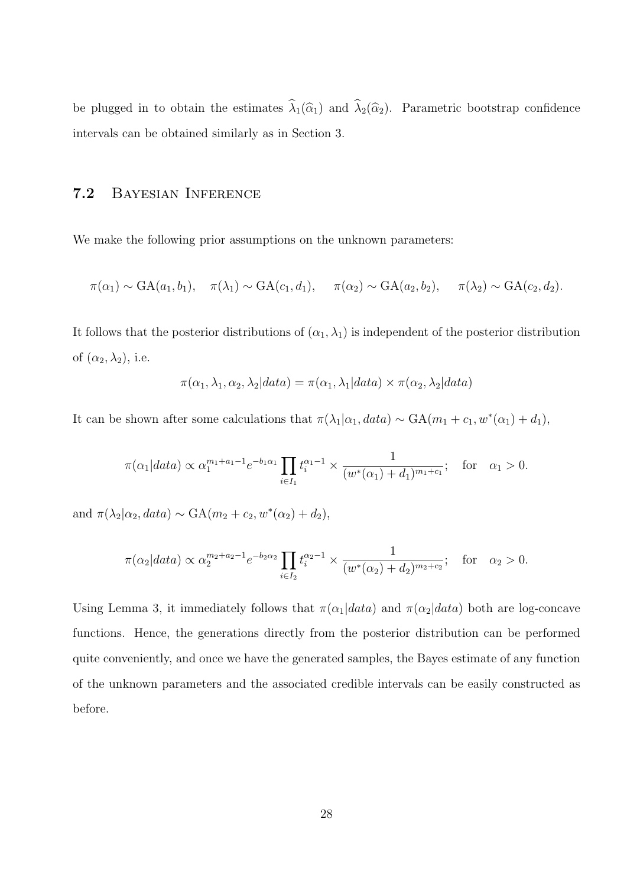be plugged in to obtain the estimates  $\widehat{\lambda}_1(\widehat{\alpha}_1)$  and  $\widehat{\lambda}_2(\widehat{\alpha}_2)$ . Parametric bootstrap confidence intervals can be obtained similarly as in Section 3.

### 7.2 Bayesian Inference

We make the following prior assumptions on the unknown parameters:

$$
\pi(\alpha_1) \sim GA(a_1, b_1), \quad \pi(\lambda_1) \sim GA(c_1, d_1), \quad \pi(\alpha_2) \sim GA(a_2, b_2), \quad \pi(\lambda_2) \sim GA(c_2, d_2).
$$

It follows that the posterior distributions of  $(\alpha_1, \lambda_1)$  is independent of the posterior distribution of  $(\alpha_2, \lambda_2)$ , i.e.

$$
\pi(\alpha_1, \lambda_1, \alpha_2, \lambda_2 | data) = \pi(\alpha_1, \lambda_1 | data) \times \pi(\alpha_2, \lambda_2 | data)
$$

It can be shown after some calculations that  $\pi(\lambda_1|\alpha_1, data) \sim GA(m_1 + c_1, w^*(\alpha_1) + d_1)$ ,

$$
\pi(\alpha_1|data) \propto \alpha_1^{m_1 + a_1 - 1} e^{-b_1 \alpha_1} \prod_{i \in I_1} t_i^{\alpha_1 - 1} \times \frac{1}{(w^*(\alpha_1) + d_1)^{m_1 + c_1}}; \text{ for } \alpha_1 > 0.
$$

and  $\pi(\lambda_2|\alpha_2, data) \sim \text{GA}(m_2 + c_2, w^*(\alpha_2) + d_2),$ 

$$
\pi(\alpha_2|data) \propto \alpha_2^{m_2 + a_2 - 1} e^{-b_2 \alpha_2} \prod_{i \in I_2} t_i^{\alpha_2 - 1} \times \frac{1}{(w^*(\alpha_2) + d_2)^{m_2 + c_2}}; \quad \text{for} \quad \alpha_2 > 0.
$$

Using Lemma 3, it immediately follows that  $\pi(\alpha_1|data)$  and  $\pi(\alpha_2|data)$  both are log-concave functions. Hence, the generations directly from the posterior distribution can be performed quite conveniently, and once we have the generated samples, the Bayes estimate of any function of the unknown parameters and the associated credible intervals can be easily constructed as before.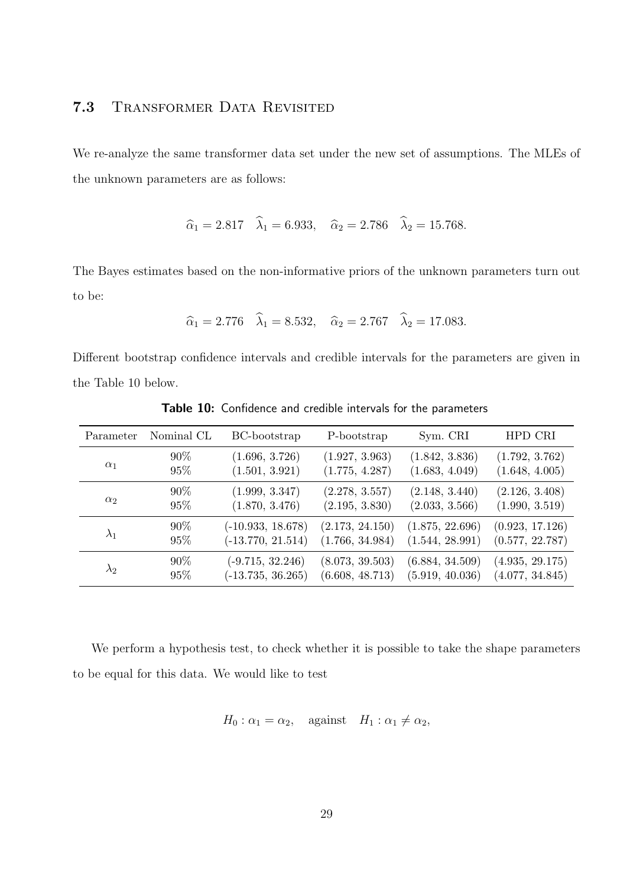## 7.3 TRANSFORMER DATA REVISITED

We re-analyze the same transformer data set under the new set of assumptions. The MLEs of the unknown parameters are as follows:

$$
\hat{\alpha}_1 = 2.817
$$
  $\hat{\lambda}_1 = 6.933$ ,  $\hat{\alpha}_2 = 2.786$   $\hat{\lambda}_2 = 15.768$ .

The Bayes estimates based on the non-informative priors of the unknown parameters turn out to be:

$$
\hat{\alpha}_1 = 2.776
$$
  $\hat{\lambda}_1 = 8.532$ ,  $\hat{\alpha}_2 = 2.767$   $\hat{\lambda}_2 = 17.083$ .

Different bootstrap confidence intervals and credible intervals for the parameters are given in the Table 10 below.

| Parameter   | Nominal CL | BC-bootstrap        | P-bootstrap     | Sym. CRI        | HPD CRI         |
|-------------|------------|---------------------|-----------------|-----------------|-----------------|
| $\alpha_1$  | $90\%$     | (1.696, 3.726)      | (1.927, 3.963)  | (1.842, 3.836)  | (1.792, 3.762)  |
|             | 95%        | (1.501, 3.921)      | (1.775, 4.287)  | (1.683, 4.049)  | (1.648, 4.005)  |
| $\alpha_2$  | $90\%$     | (1.999, 3.347)      | (2.278, 3.557)  | (2.148, 3.440)  | (2.126, 3.408)  |
|             | 95%        | (1.870, 3.476)      | (2.195, 3.830)  | (2.033, 3.566)  | (1.990, 3.519)  |
| $\lambda_1$ | $90\%$     | $(-10.933, 18.678)$ | (2.173, 24.150) | (1.875, 22.696) | (0.923, 17.126) |
|             | 95%        | $(-13.770, 21.514)$ | (1.766, 34.984) | (1.544, 28.991) | (0.577, 22.787) |
| $\lambda_2$ | $90\%$     | $(-9.715, 32.246)$  | (8.073, 39.503) | (6.884, 34.509) | (4.935, 29.175) |
|             | $95\%$     | $(-13.735, 36.265)$ | (6.608, 48.713) | (5.919, 40.036) | (4.077, 34.845) |

Table 10: Confidence and credible intervals for the parameters

We perform a hypothesis test, to check whether it is possible to take the shape parameters to be equal for this data. We would like to test

$$
H_0: \alpha_1 = \alpha_2, \quad \text{against} \quad H_1: \alpha_1 \neq \alpha_2,
$$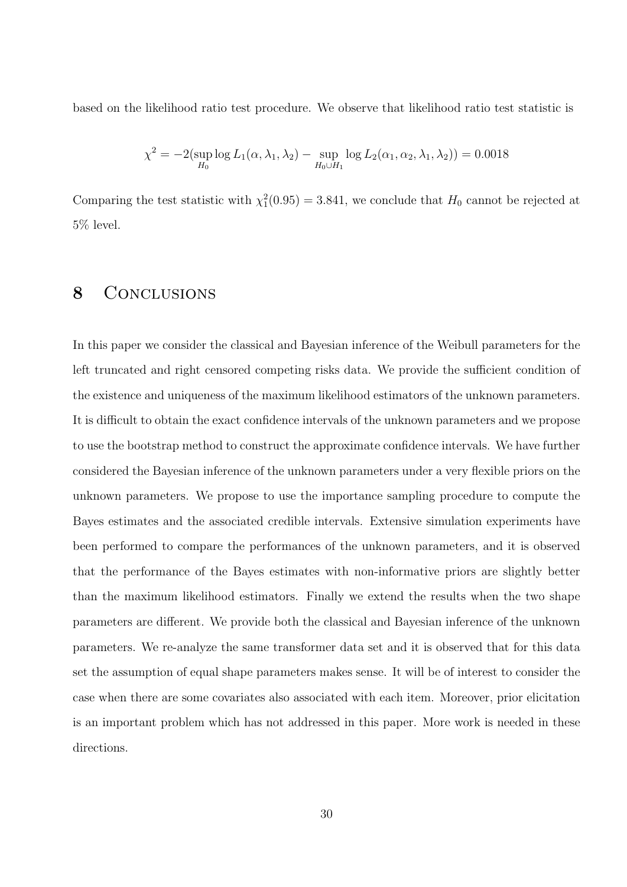based on the likelihood ratio test procedure. We observe that likelihood ratio test statistic is

$$
\chi^2 = -2(\sup_{H_0} \log L_1(\alpha, \lambda_1, \lambda_2) - \sup_{H_0 \cup H_1} \log L_2(\alpha_1, \alpha_2, \lambda_1, \lambda_2)) = 0.0018
$$

Comparing the test statistic with  $\chi_1^2(0.95) = 3.841$ , we conclude that  $H_0$  cannot be rejected at 5% level.

### 8 CONCLUSIONS

In this paper we consider the classical and Bayesian inference of the Weibull parameters for the left truncated and right censored competing risks data. We provide the sufficient condition of the existence and uniqueness of the maximum likelihood estimators of the unknown parameters. It is difficult to obtain the exact confidence intervals of the unknown parameters and we propose to use the bootstrap method to construct the approximate confidence intervals. We have further considered the Bayesian inference of the unknown parameters under a very flexible priors on the unknown parameters. We propose to use the importance sampling procedure to compute the Bayes estimates and the associated credible intervals. Extensive simulation experiments have been performed to compare the performances of the unknown parameters, and it is observed that the performance of the Bayes estimates with non-informative priors are slightly better than the maximum likelihood estimators. Finally we extend the results when the two shape parameters are different. We provide both the classical and Bayesian inference of the unknown parameters. We re-analyze the same transformer data set and it is observed that for this data set the assumption of equal shape parameters makes sense. It will be of interest to consider the case when there are some covariates also associated with each item. Moreover, prior elicitation is an important problem which has not addressed in this paper. More work is needed in these directions.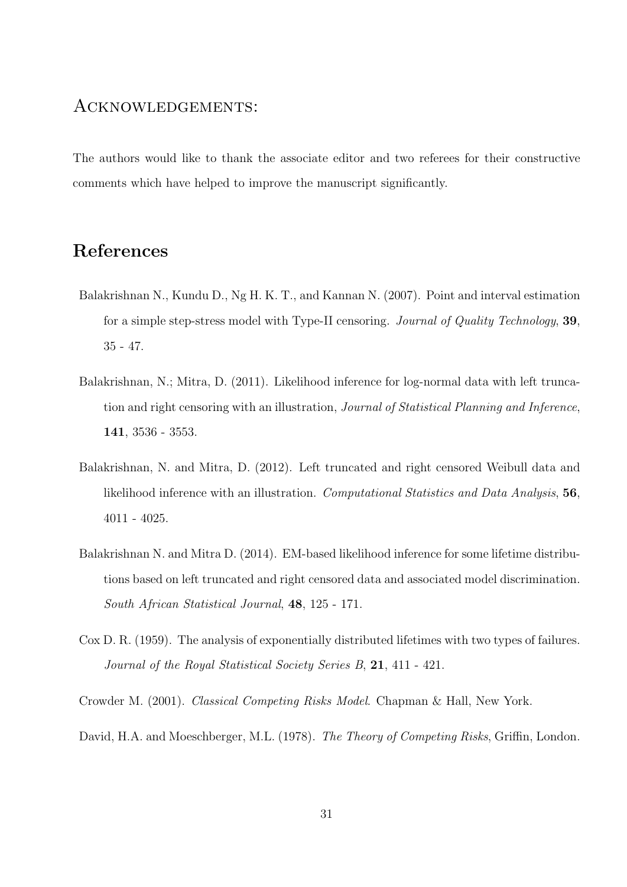### Acknowledgements:

The authors would like to thank the associate editor and two referees for their constructive comments which have helped to improve the manuscript significantly.

# References

- Balakrishnan N., Kundu D., Ng H. K. T., and Kannan N. (2007). Point and interval estimation for a simple step-stress model with Type-II censoring. Journal of Quality Technology, 39, 35 - 47.
- Balakrishnan, N.; Mitra, D. (2011). Likelihood inference for log-normal data with left truncation and right censoring with an illustration, Journal of Statistical Planning and Inference, 141, 3536 - 3553.
- Balakrishnan, N. and Mitra, D. (2012). Left truncated and right censored Weibull data and likelihood inference with an illustration. Computational Statistics and Data Analysis, 56, 4011 - 4025.
- Balakrishnan N. and Mitra D. (2014). EM-based likelihood inference for some lifetime distributions based on left truncated and right censored data and associated model discrimination. South African Statistical Journal, 48, 125 - 171.
- Cox D. R. (1959). The analysis of exponentially distributed lifetimes with two types of failures. Journal of the Royal Statistical Society Series B, 21, 411 - 421.
- Crowder M. (2001). Classical Competing Risks Model. Chapman & Hall, New York.
- David, H.A. and Moeschberger, M.L. (1978). The Theory of Competing Risks, Griffin, London.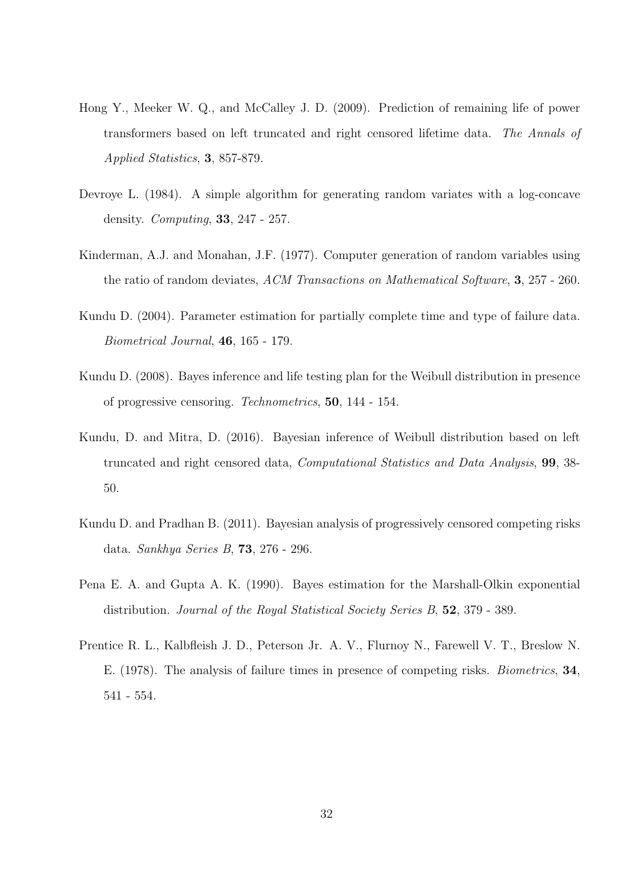- Hong Y., Meeker W. Q., and McCalley J. D. (2009). Prediction of remaining life of power transformers based on left truncated and right censored lifetime data. The Annals of Applied Statistics, 3, 857-879.
- Devroye L. (1984). A simple algorithm for generating random variates with a log-concave density. Computing, 33, 247 - 257.
- Kinderman, A.J. and Monahan, J.F. (1977). Computer generation of random variables using the ratio of random deviates, ACM Transactions on Mathematical Software, 3, 257 - 260.
- Kundu D. (2004). Parameter estimation for partially complete time and type of failure data. Biometrical Journal, 46, 165 - 179.
- Kundu D. (2008). Bayes inference and life testing plan for the Weibull distribution in presence of progressive censoring. Technometrics, 50, 144 - 154.
- Kundu, D. and Mitra, D. (2016). Bayesian inference of Weibull distribution based on left truncated and right censored data, Computational Statistics and Data Analysis, 99, 38- 50.
- Kundu D. and Pradhan B. (2011). Bayesian analysis of progressively censored competing risks data. Sankhya Series B, 73, 276 - 296.
- Pena E. A. and Gupta A. K. (1990). Bayes estimation for the Marshall-Olkin exponential distribution. Journal of the Royal Statistical Society Series B, 52, 379 - 389.
- Prentice R. L., Kalbfleish J. D., Peterson Jr. A. V., Flurnoy N., Farewell V. T., Breslow N. E. (1978). The analysis of failure times in presence of competing risks. Biometrics, 34, 541 - 554.